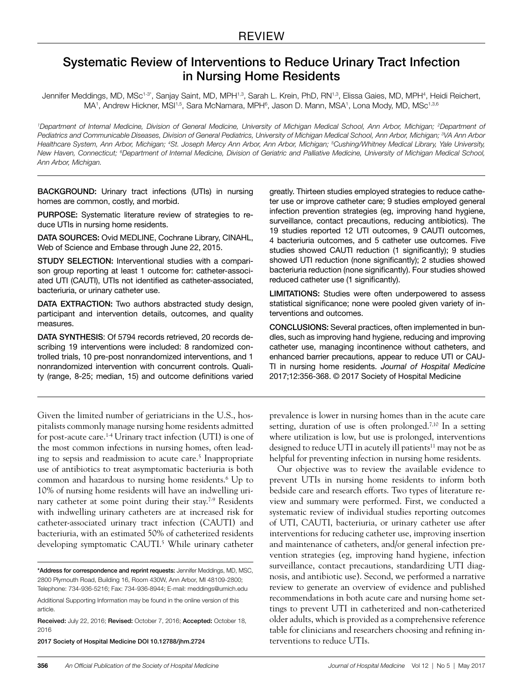# Systematic Review of Interventions to Reduce Urinary Tract Infection in Nursing Home Residents

Jennifer Meddings, MD, MSc<sup>1.3\*</sup>, Sanjay Saint, MD, MPH<sup>1,3</sup>, Sarah L. Krein, PhD, RN<sup>1,3</sup>, Elissa Gaies, MD, MPH<sup>4</sup>, Heidi Reichert, MA', Andrew Hickner, MSI'<sup>,5</sup>, Sara McNamara, MPH<sup>6</sup>, Jason D. Mann, MSA', Lona Mody, MD, MSc'<sup>,3,6</sup>

<sup>*1*</sup>Department of Internal Medicine, Division of General Medicine, University of Michigan Medical School, Ann Arbor, Michigan; <sup>2</sup>Department of *Pediatrics and Communicable Diseases, Division of General Pediatrics, University of Michigan Medical School, Ann Arbor, Michigan; 3 VA Ann Arbor Healthcare System, Ann Arbor, Michigan; 4 St. Joseph Mercy Ann Arbor, Ann Arbor, Michigan; 5 Cushing/Whitney Medical Library, Yale University,*  New Haven, Connecticut; <sup>6</sup>Department of Internal Medicine, Division of Geriatric and Palliative Medicine, University of Michigan Medical School, *Ann Arbor, Michigan.*

BACKGROUND: Urinary tract infections (UTIs) in nursing homes are common, costly, and morbid.

PURPOSE: Systematic literature review of strategies to reduce UTIs in nursing home residents.

DATA SOURCES: Ovid MEDLINE, Cochrane Library, CINAHL, Web of Science and Embase through June 22, 2015.

STUDY SELECTION: Interventional studies with a comparison group reporting at least 1 outcome for: catheter-associated UTI (CAUTI), UTIs not identified as catheter-associated, bacteriuria, or urinary catheter use.

DATA EXTRACTION: Two authors abstracted study design, participant and intervention details, outcomes, and quality measures.

DATA SYNTHESIS: Of 5794 records retrieved, 20 records describing 19 interventions were included: 8 randomized controlled trials, 10 pre-post nonrandomized interventions, and 1 nonrandomized intervention with concurrent controls. Quality (range, 8-25; median, 15) and outcome definitions varied

Given the limited number of geriatricians in the U.S., hospitalists commonly manage nursing home residents admitted for post-acute care.1-4 Urinary tract infection (UTI) is one of the most common infections in nursing homes, often leading to sepsis and readmission to acute care.<sup>5</sup> Inappropriate use of antibiotics to treat asymptomatic bacteriuria is both common and hazardous to nursing home residents.6 Up to 10% of nursing home residents will have an indwelling urinary catheter at some point during their stay.<sup>7-9</sup> Residents with indwelling urinary catheters are at increased risk for catheter-associated urinary tract infection (CAUTI) and bacteriuria, with an estimated 50% of catheterized residents developing symptomatic CAUTI.<sup>5</sup> While urinary catheter

2017 Society of Hospital Medicine DOI 10.12788/jhm.2724

greatly. Thirteen studies employed strategies to reduce catheter use or improve catheter care; 9 studies employed general infection prevention strategies (eg, improving hand hygiene, surveillance, contact precautions, reducing antibiotics). The 19 studies reported 12 UTI outcomes, 9 CAUTI outcomes, 4 bacteriuria outcomes, and 5 catheter use outcomes. Five studies showed CAUTI reduction (1 significantly); 9 studies showed UTI reduction (none significantly); 2 studies showed bacteriuria reduction (none significantly). Four studies showed reduced catheter use (1 significantly).

LIMITATIONS: Studies were often underpowered to assess statistical significance; none were pooled given variety of interventions and outcomes.

CONCLUSIONS: Several practices, often implemented in bundles, such as improving hand hygiene, reducing and improving catheter use, managing incontinence without catheters, and enhanced barrier precautions, appear to reduce UTI or CAU-TI in nursing home residents. *Journal of Hospital Medicine* 2017;12:356-368. © 2017 Society of Hospital Medicine

prevalence is lower in nursing homes than in the acute care setting, duration of use is often prolonged.<sup>7,10</sup> In a setting where utilization is low, but use is prolonged, interventions designed to reduce UTI in acutely ill patients<sup>11</sup> may not be as helpful for preventing infection in nursing home residents.

Our objective was to review the available evidence to prevent UTIs in nursing home residents to inform both bedside care and research efforts. Two types of literature review and summary were performed. First, we conducted a systematic review of individual studies reporting outcomes of UTI, CAUTI, bacteriuria, or urinary catheter use after interventions for reducing catheter use, improving insertion and maintenance of catheters, and/or general infection prevention strategies (eg, improving hand hygiene, infection surveillance, contact precautions, standardizing UTI diagnosis, and antibiotic use). Second, we performed a narrative review to generate an overview of evidence and published recommendations in both acute care and nursing home settings to prevent UTI in catheterized and non-catheterized older adults, which is provided as a comprehensive reference table for clinicians and researchers choosing and refining interventions to reduce UTIs.

<sup>\*</sup>Address for correspondence and reprint requests: Jennifer Meddings, MD, MSC, 2800 Plymouth Road, Building 16, Room 430W, Ann Arbor, MI 48109-2800; Telephone: 734-936-5216; Fax: 734-936-8944; E-mail: meddings@umich.edu

Additional Supporting Information may be found in the online version of this article.

Received: July 22, 2016; Revised: October 7, 2016; Accepted: October 18, 2016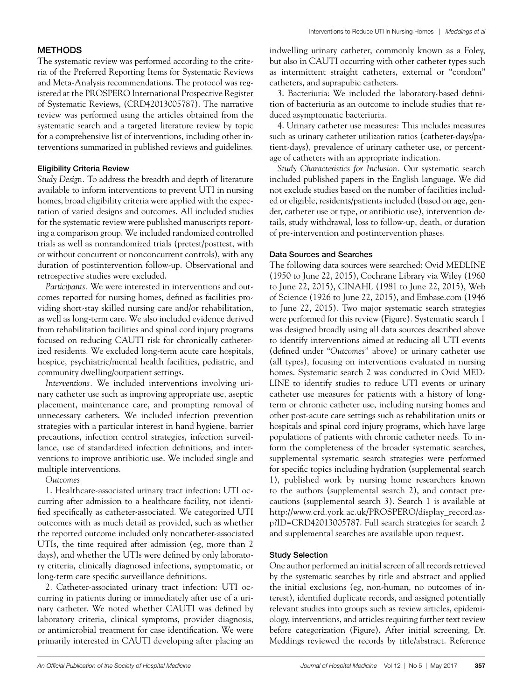## METHODS

The systematic review was performed according to the criteria of the Preferred Reporting Items for Systematic Reviews and Meta-Analysis recommendations. The protocol was registered at the PROSPERO International Prospective Register of Systematic Reviews, (CRD42013005787). The narrative review was performed using the articles obtained from the systematic search and a targeted literature review by topic for a comprehensive list of interventions, including other interventions summarized in published reviews and guidelines.

## Eligibility Criteria Review

*Study Design.* To address the breadth and depth of literature available to inform interventions to prevent UTI in nursing homes, broad eligibility criteria were applied with the expectation of varied designs and outcomes. All included studies for the systematic review were published manuscripts reporting a comparison group. We included randomized controlled trials as well as nonrandomized trials (pretest/posttest, with or without concurrent or nonconcurrent controls), with any duration of postintervention follow-up. Observational and retrospective studies were excluded.

*Participants.* We were interested in interventions and outcomes reported for nursing homes, defined as facilities providing short-stay skilled nursing care and/or rehabilitation, as well as long-term care. We also included evidence derived from rehabilitation facilities and spinal cord injury programs focused on reducing CAUTI risk for chronically catheterized residents. We excluded long-term acute care hospitals, hospice, psychiatric/mental health facilities, pediatric, and community dwelling/outpatient settings.

*Interventions.* We included interventions involving urinary catheter use such as improving appropriate use, aseptic placement, maintenance care, and prompting removal of unnecessary catheters. We included infection prevention strategies with a particular interest in hand hygiene, barrier precautions, infection control strategies, infection surveillance, use of standardized infection definitions, and interventions to improve antibiotic use. We included single and multiple interventions.

## *Outcomes*

1. Healthcare-associated urinary tract infection: UTI occurring after admission to a healthcare facility, not identified specifically as catheter-associated. We categorized UTI outcomes with as much detail as provided, such as whether the reported outcome included only noncatheter-associated UTIs, the time required after admission (eg, more than 2 days), and whether the UTIs were defined by only laboratory criteria, clinically diagnosed infections, symptomatic, or long-term care specific surveillance definitions.

2. Catheter-associated urinary tract infection: UTI occurring in patients during or immediately after use of a urinary catheter. We noted whether CAUTI was defined by laboratory criteria, clinical symptoms, provider diagnosis, or antimicrobial treatment for case identification. We were primarily interested in CAUTI developing after placing an

indwelling urinary catheter, commonly known as a Foley, but also in CAUTI occurring with other catheter types such as intermittent straight catheters, external or "condom" catheters, and suprapubic catheters.

3. Bacteriuria: We included the laboratory-based definition of bacteriuria as an outcome to include studies that reduced asymptomatic bacteriuria.

4. Urinary catheter use measures*:* This includes measures such as urinary catheter utilization ratios (catheter-days/patient-days), prevalence of urinary catheter use, or percentage of catheters with an appropriate indication.

*Study Characteristics for Inclusion.* Our systematic search included published papers in the English language. We did not exclude studies based on the number of facilities included or eligible, residents/patients included (based on age, gender, catheter use or type, or antibiotic use), intervention details, study withdrawal, loss to follow-up, death, or duration of pre-intervention and postintervention phases.

## Data Sources and Searches

The following data sources were searched: Ovid MEDLINE (1950 to June 22, 2015), Cochrane Library via Wiley (1960 to June 22, 2015), CINAHL (1981 to June 22, 2015), Web of Science (1926 to June 22, 2015), and Embase.com (1946 to June 22, 2015). Two major systematic search strategies were performed for this review (Figure). Systematic search 1 was designed broadly using all data sources described above to identify interventions aimed at reducing all UTI events (defined under "*Outcomes"* above) or urinary catheter use (all types), focusing on interventions evaluated in nursing homes. Systematic search 2 was conducted in Ovid MED-LINE to identify studies to reduce UTI events or urinary catheter use measures for patients with a history of longterm or chronic catheter use, including nursing homes and other post-acute care settings such as rehabilitation units or hospitals and spinal cord injury programs, which have large populations of patients with chronic catheter needs. To inform the completeness of the broader systematic searches, supplemental systematic search strategies were performed for specific topics including hydration (supplemental search 1), published work by nursing home researchers known to the authors (supplemental search 2), and contact precautions (supplemental search 3). Search 1 is available at http://www.crd.york.ac.uk/PROSPERO/display\_record.asp?ID=CRD42013005787. Full search strategies for search 2 and supplemental searches are available upon request.

## Study Selection

One author performed an initial screen of all records retrieved by the systematic searches by title and abstract and applied the initial exclusions (eg, non-human, no outcomes of interest), identified duplicate records, and assigned potentially relevant studies into groups such as review articles, epidemiology, interventions, and articles requiring further text review before categorization (Figure). After initial screening, Dr. Meddings reviewed the records by title/abstract. Reference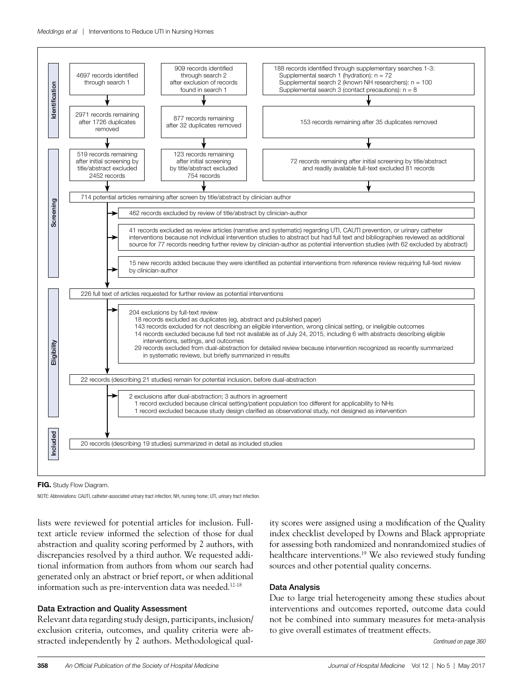

FIG. Study Flow Diagram.

NOTE: Abbreviations: CAUTI, catheter-associated urinary tract infection; NH, nursing home; UTI, urinary tract infection.

lists were reviewed for potential articles for inclusion. Fulltext article review informed the selection of those for dual abstraction and quality scoring performed by 2 authors, with discrepancies resolved by a third author. We requested additional information from authors from whom our search had generated only an abstract or brief report, or when additional information such as pre-intervention data was needed.<sup>12-18</sup>

## Data Extraction and Quality Assessment

Relevant data regarding study design, participants, inclusion/ exclusion criteria, outcomes, and quality criteria were abstracted independently by 2 authors. Methodological quality scores were assigned using a modification of the Quality index checklist developed by Downs and Black appropriate for assessing both randomized and nonrandomized studies of healthcare interventions.<sup>19</sup> We also reviewed study funding sources and other potential quality concerns.

## Data Analysis

Due to large trial heterogeneity among these studies about interventions and outcomes reported, outcome data could not be combined into summary measures for meta-analysis to give overall estimates of treatment effects.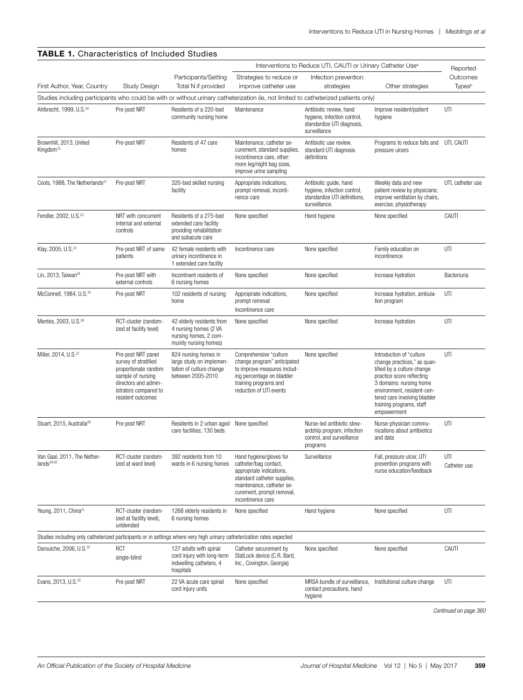|                                                                                                                                     |                                                                                                                                                               |                                                                                                      | Interventions to Reduce UTI, CAUTI or Urinary Catheter Use <sup>a</sup>                                                                                                                    | Reported                                                                                               |                                                                                                                                                                                                                                                        |                           |
|-------------------------------------------------------------------------------------------------------------------------------------|---------------------------------------------------------------------------------------------------------------------------------------------------------------|------------------------------------------------------------------------------------------------------|--------------------------------------------------------------------------------------------------------------------------------------------------------------------------------------------|--------------------------------------------------------------------------------------------------------|--------------------------------------------------------------------------------------------------------------------------------------------------------------------------------------------------------------------------------------------------------|---------------------------|
|                                                                                                                                     |                                                                                                                                                               | Participants/Setting                                                                                 | Strategies to reduce or                                                                                                                                                                    | Infection prevention                                                                                   |                                                                                                                                                                                                                                                        | Outcomes                  |
| First Author, Year, Country                                                                                                         | <b>Study Design</b>                                                                                                                                           | Total N if provided                                                                                  | improve catheter use                                                                                                                                                                       | strategies                                                                                             | Other strategies                                                                                                                                                                                                                                       | <b>Types</b> <sup>b</sup> |
| Studies including participants who could be with or without urinary catheterization (ie, not limited to catheterized patients only) |                                                                                                                                                               |                                                                                                      |                                                                                                                                                                                            |                                                                                                        |                                                                                                                                                                                                                                                        |                           |
| Ahlbrecht, 1999, U.S. <sup>20</sup>                                                                                                 | Pre-post NRT                                                                                                                                                  | Residents of a 220-bed<br>community nursing home                                                     | Maintenance                                                                                                                                                                                | Antibiotic review, hand<br>hygiene, infection control,<br>standardize UTI diagnosis,<br>surveillance   | Improve resident/patient<br>hygiene                                                                                                                                                                                                                    | UTI                       |
| Brownhill, 2013, United<br>Kingdom <sup>15</sup>                                                                                    | Pre-post NRT                                                                                                                                                  | Residents of 47 care<br>homes                                                                        | Maintenance, catheter se-<br>curement, standard supplies,<br>incontinence care, other:<br>more leg/night bag sizes,<br>improve urine sampling                                              | Antibiotic use review,<br>standard UTI diagnosis<br>definitions                                        | Programs to reduce falls and UTI, CAUTI<br>pressure ulcers                                                                                                                                                                                             |                           |
| Cools, 1988, The Netherlands <sup>21</sup>                                                                                          | Pre-post NRT                                                                                                                                                  | 320-bed skilled nursing<br>facility                                                                  | Appropriate indications,<br>prompt removal, inconti-<br>nence care                                                                                                                         | Antibiotic guide, hand<br>hygiene, infection control,<br>standardize UTI definitions,<br>surveillance. | Weekly data and new<br>patient review by physicians;<br>improve ventilation by chairs,<br>exercise, physiotherapy                                                                                                                                      | UTI, catheter use         |
| Fendler, 2002, U.S. <sup>22</sup>                                                                                                   | NRT with concurrent<br>internal and external<br>controls                                                                                                      | Residents of a 275-bed<br>extended care facility<br>providing rehabilitation<br>and subacute care    | None specified                                                                                                                                                                             | Hand hygiene                                                                                           | None specified                                                                                                                                                                                                                                         | CAUTI                     |
| Klay, 2005, U.S. <sup>23</sup>                                                                                                      | Pre-post NRT of same<br>patients                                                                                                                              | 42 female residents with<br>urinary incontinence in<br>1 extended care facility                      | Incontinence care                                                                                                                                                                          | None specified                                                                                         | Family education on<br>incontinence                                                                                                                                                                                                                    | UTI                       |
| Lin, 2013, Taiwan <sup>24</sup>                                                                                                     | Pre-post NRT with<br>external controls                                                                                                                        | Incontinent residents of<br>6 nursing homes                                                          | None specified                                                                                                                                                                             | None specified                                                                                         | Increase hydration                                                                                                                                                                                                                                     | Bacteriuria               |
| McConnell, 1984, U.S. <sup>25</sup>                                                                                                 | Pre-post NRT                                                                                                                                                  | 102 residents of nursing<br>home                                                                     | Appropriate indications,<br>prompt removal<br>Incontinence care                                                                                                                            | None specified                                                                                         | Increase hydration, ambula-<br>tion program                                                                                                                                                                                                            | UTI                       |
| Mentes, 2003, U.S. <sup>26</sup>                                                                                                    | RCT-cluster (random-<br>ized at facility level)                                                                                                               | 42 elderly residents from<br>4 nursing homes (2 VA<br>nursing homes, 2 com-<br>munity nursing homes) | None specified                                                                                                                                                                             | None specified                                                                                         | Increase hydration                                                                                                                                                                                                                                     | UTI                       |
| Miller, 2014, U.S. <sup>27</sup>                                                                                                    | Pre-post NRT panel<br>survey of stratified<br>proportionate random<br>sample of nursing<br>directors and admin-<br>istrators compared to<br>resident outcomes | 824 nursing homes in<br>large study on implemen-<br>tation of culture change<br>between 2005-2010    | Comprehensive "culture<br>change program" anticipated<br>to improve measures includ-<br>ing percentage on bladder<br>training programs and<br>reduction of UTI events                      | None specified                                                                                         | Introduction of "culture<br>change practices," as quan-<br>tified by a culture change<br>practice score reflecting<br>3 domains: nursing home<br>environment, resident-cen-<br>tered care involving bladder<br>training programs, staff<br>empowerment | UTI                       |
| Stuart, 2015, Australia <sup>28</sup>                                                                                               | Pre-post NRT                                                                                                                                                  | Residents in 2 urban aged<br>care facilities; 130 beds                                               | None specified                                                                                                                                                                             | Nurse-led antibiotic stew-<br>ardship program, infection<br>control, and surveillance<br>programs      | Nurse-physician commu-<br>nications about antibiotics<br>and data                                                                                                                                                                                      | UTI                       |
| Van Gaal, 2011, The Nether-<br>lands <sup>29,30</sup>                                                                               | RCT-cluster (random-<br>ized at ward level)                                                                                                                   | 392 residents from 10<br>wards in 6 nursing homes                                                    | Hand hygiene/gloves for<br>catheter/bag contact,<br>appropriate indications,<br>standard catheter supplies,<br>maintenance, catheter se-<br>curement, prompt removal,<br>incontinence care | Surveillance                                                                                           | Fall, pressure ulcer, UTI<br>prevention programs with<br>nurse education/feedback                                                                                                                                                                      | UTI<br>Catheter use       |
| Yeung, 2011, China <sup>31</sup>                                                                                                    | RCT-cluster (random-<br>ized at facility level),<br>unblended                                                                                                 | 1268 elderly residents in<br>6 nursing homes                                                         | None specified                                                                                                                                                                             | Hand hygiene                                                                                           | None specified                                                                                                                                                                                                                                         | UTI                       |
| Studies including only catheterized participants or in settings where very high urinary catheterization rates expected              |                                                                                                                                                               |                                                                                                      |                                                                                                                                                                                            |                                                                                                        |                                                                                                                                                                                                                                                        |                           |
| Darouiche, 2006, U.S. <sup>32</sup>                                                                                                 | <b>RCT</b><br>single-blind                                                                                                                                    | 127 adults with spinal<br>cord injury with long-term<br>indwelling catheters, 4<br>hospitals         | Catheter securement by<br>StatLock device (C.R. Bard,<br>Inc., Covington, Georgia)                                                                                                         | None specified                                                                                         | None specified                                                                                                                                                                                                                                         | CAUTI                     |
| Evans, 2013, U.S. <sup>33</sup>                                                                                                     | Pre-post NRT                                                                                                                                                  | 22 VA acute care spinal<br>cord injury units                                                         | None specified                                                                                                                                                                             | MRSA bundle of surveillance,<br>contact precautions, hand<br>hygiene                                   | Institutional culture change                                                                                                                                                                                                                           | UTI                       |

TABLE 1. Characteristics of Included Studies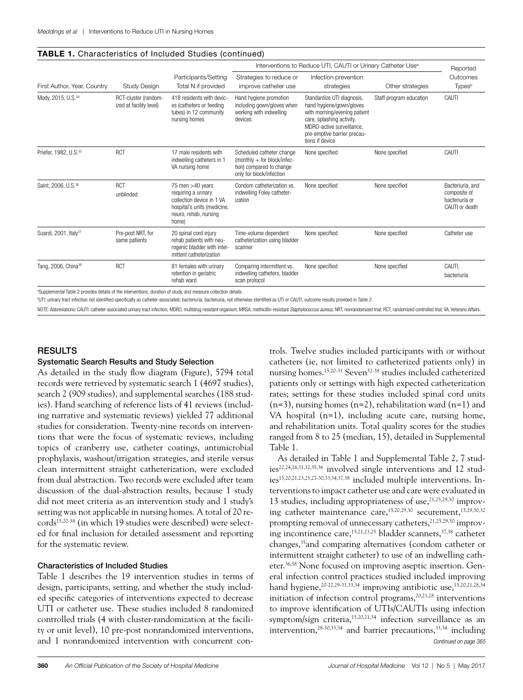## TABLE 1. Characteristics of Included Studies (continued)

|                                                                                                                               | Interventions to Reduce UTI, CAUTI or Urinary Catheter Use <sup>a</sup> |                                                                                                                                         |                                                                                                                  |                                                                                                                                                                                                    | Reported                |                                                                      |
|-------------------------------------------------------------------------------------------------------------------------------|-------------------------------------------------------------------------|-----------------------------------------------------------------------------------------------------------------------------------------|------------------------------------------------------------------------------------------------------------------|----------------------------------------------------------------------------------------------------------------------------------------------------------------------------------------------------|-------------------------|----------------------------------------------------------------------|
| First Author, Year, Country                                                                                                   | <b>Study Design</b>                                                     | Participants/Setting<br>Total N if provided                                                                                             | Strategies to reduce or<br>improve catheter use                                                                  | Infection prevention<br>strategies                                                                                                                                                                 | Other strategies        | Outcomes<br><b>Types</b> <sup>b</sup>                                |
| Mody, 2015, U.S. <sup>34</sup>                                                                                                | RCT-cluster (random-<br>ized at facility level)                         | 418 residents with devic-<br>es (catheters or feeding<br>tubes) in 12 community<br>nursing homes                                        | Hand hygiene promotion<br>including gown/gloves when<br>working with indwelling<br>devices                       | Standardize UTI diagnosis,<br>hand hygiene/gown/gloves<br>with morning/evening patient<br>care, splashing activity,<br>MDRO-active surveillance.<br>pre-emptive barrier precau-<br>tions if device | Staff program education | CAUTI                                                                |
| Priefer, 1982, U.S. <sup>35</sup>                                                                                             | <b>RCT</b>                                                              | 17 male residents with<br>indwelling catheters in 1<br>VA nursing home                                                                  | Scheduled catheter change<br>(monthly + for block/infec-<br>tion) compared to change<br>only for block/infection | None specified                                                                                                                                                                                     | None specified          | CAUTI                                                                |
| Saint, 2006, U.S. 36                                                                                                          | <b>RCT</b><br>unblinded                                                 | 75 men $>40$ years<br>requiring a urinary<br>collection device in 1 VA<br>hospital's units (medicine,<br>neuro, rehab, nursing<br>home) | Condom catheterization vs.<br>indwelling Foley catheter-<br>ization                                              | None specified                                                                                                                                                                                     | None specified          | Bacteriuria, and<br>composite of<br>bacteriuria or<br>CAUTI or death |
| Suardi, 2001, Italy <sup>37</sup>                                                                                             | Pre-post NRT, for<br>same patients                                      | 20 spinal cord injury<br>rehab patients with neu-<br>rogenic bladder with inter-<br>mittent catheterization                             | Time-volume dependent<br>catheterization using bladder<br>scanner                                                | None specified                                                                                                                                                                                     | None specified          | Catheter use                                                         |
| Tang, 2006, China <sup>38</sup><br>$\mathbf{1}$ $\mathbf{1}$ $\mathbf{1}$ $\mathbf{1}$ $\mathbf{1}$ $\mathbf{1}$ $\mathbf{1}$ | <b>RCT</b>                                                              | 81 females with urinary<br>retention in geriatric<br>rehab ward                                                                         | Comparing intermittent vs.<br>indwelling catheters, bladder<br>scan protocol                                     | None specified                                                                                                                                                                                     | None specified          | CAUTI,<br>bacteriuria                                                |

a Supplemental Table 2 provides details of the interventions, duration of study, and measure collection details.

b UTI: urinary tract infection not identified specifically as catheter-associated; bacteriuria: bacteriuria, not otherwise identified as UTI or CAUTI; outcome results provided in Table 2.

NOTE: Abbreviations: CAUTI: catheter-associated urinary tract infection; MDRO, multidrug resistant organism; MRSA, methicillin-resistant Staphylococcus aureus; NRT, nonrandomized trial; RCT, randomized controlled trial; VA

## RESULTS

## Systematic Search Results and Study Selection

As detailed in the study flow diagram (Figure), 5794 total records were retrieved by systematic search 1 (4697 studies), search 2 (909 studies), and supplemental searches (188 studies). Hand searching of reference lists of 41 reviews (including narrative and systematic reviews) yielded 77 additional studies for consideration. Twenty-nine records on interventions that were the focus of systematic reviews, including topics of cranberry use, catheter coatings, antimicrobial prophylaxis, washout/irrigation strategies, and sterile versus clean intermittent straight catheterization, were excluded from dual abstraction. Two records were excluded after team discussion of the dual-abstraction results, because 1 study did not meet criteria as an intervention study and 1 study's setting was not applicable in nursing homes. A total of 20 records15,20-38 (in which 19 studies were described) were selected for final inclusion for detailed assessment and reporting for the systematic review.

## Characteristics of Included Studies

Table 1 describes the 19 intervention studies in terms of design, participants, setting, and whether the study included specific categories of interventions expected to decrease UTI or catheter use. These studies included 8 randomized controlled trials (4 with cluster-randomization at the facility or unit level), 10 pre-post nonrandomized interventions, and 1 nonrandomized intervention with concurrent con-

trols. Twelve studies included participants with or without catheters (ie, not limited to catheterized patients only) in nursing homes.15,20-31 Seven32-38 studies included catheterized patients only or settings with high expected catheterization rates; settings for these studies included spinal cord units  $(n=3)$ , nursing homes  $(n=2)$ , rehabilitation ward  $(n=1)$  and VA hospital (n=1), including acute care, nursing home, and rehabilitation units. Total quality scores for the studies ranged from 8 to 25 (median, 15), detailed in Supplemental Table 1.

As detailed in Table 1 and Supplemental Table 2, 7 studies<sup>22,24,26,31,32,35,36</sup> involved single interventions and 12 studies15,20,21,23,25,27-30,33,34,37,38 included multiple interventions. Interventions to impact catheter use and care were evaluated in 13 studies, including appropriateness of use,<sup>21,25,29,30</sup> improving catheter maintenance care,<sup>15,20,29,30</sup> securement,<sup>15,29,30,32</sup> prompting removal of unnecessary catheters,<sup>21,25,29,30</sup> improving incontinence care,  $15,21,23,25$  bladder scanners,  $37,38$  catheter changes,35and comparing alternatives (condom catheter or intermittent straight catheter) to use of an indwelling catheter.36,38 None focused on improving aseptic insertion. General infection control practices studied included improving hand hygiene,<sup>20-22,29-31,33,34</sup> improving antibiotic use,<sup>15,20,21,28,34</sup> initiation of infection control programs, $20,21,28$  interventions to improve identification of UTIs/CAUTIs using infection symptom/sign criteria,<sup>15,20,21,34</sup> infection surveillance as an intervention,28-30,33,34 and barrier precautions,33,34 including *Continued on page 365*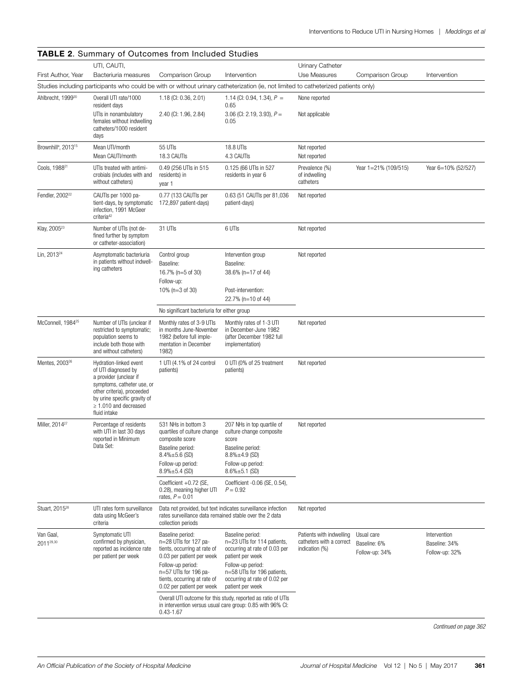|                                                             | <b>TABLE 2.</b> Summary of Outcomes from Included Studies<br>UTI, CAUTI, |                                                         |                                                                                                                                     | Urinary Catheter                                                       |                                              |                               |
|-------------------------------------------------------------|--------------------------------------------------------------------------|---------------------------------------------------------|-------------------------------------------------------------------------------------------------------------------------------------|------------------------------------------------------------------------|----------------------------------------------|-------------------------------|
| First Author, Year                                          | Bacteriuria measures                                                     | Comparison Group                                        | Intervention                                                                                                                        | Use Measures                                                           | Comparison Group                             | Intervention                  |
|                                                             |                                                                          |                                                         | Studies including participants who could be with or without urinary catheterization (ie, not limited to catheterized patients only) |                                                                        |                                              |                               |
| Ahlbrecht, 1999 <sup>20</sup>                               | Overall UTI rate/1000                                                    | 1.18 (CI: 0.36, 2.01)                                   | 1.14 (CI: 0.94, 1.34), $P =$                                                                                                        | None reported                                                          |                                              |                               |
|                                                             | resident days                                                            |                                                         | 0.65                                                                                                                                |                                                                        |                                              |                               |
|                                                             | UTIs in nonambulatory<br>females without indwelling                      | 2.40 (CI: 1.96, 2.84)                                   | 3.06 (CI: 2.19, 3.93), $P =$<br>0.05                                                                                                | Not applicable                                                         |                                              |                               |
|                                                             | catheters/1000 resident<br>days                                          |                                                         |                                                                                                                                     |                                                                        |                                              |                               |
| Brownhill <sup>a</sup> , 2013 <sup>15</sup>                 | Mean UTI/month                                                           | 55 UTIs                                                 | 18.8 UTIs                                                                                                                           | Not reported                                                           |                                              |                               |
|                                                             | Mean CAUTI/month                                                         | 18.3 CAUTIs                                             | 4.3 CAUTIS                                                                                                                          | Not reported                                                           |                                              |                               |
| Cools, 1988 <sup>21</sup>                                   | UTIs treated with antimi-                                                | 0.49 (256 UTIs in 515)                                  | 0.125 (66 UTIs in 527                                                                                                               | Prevalence (%)                                                         | Year 1=21% (109/515)                         | Year 6=10% (52/527)           |
|                                                             | crobials (includes with and<br>without catheters)                        | residents) in<br>year 1                                 | residents in year 6                                                                                                                 | of indwelling<br>catheters                                             |                                              |                               |
| Fendler, 2002 <sup>22</sup>                                 | CAUTIs per 1000 pa-                                                      | 0.77 (133 CAUTIs per                                    | 0.63 (51 CAUTIs per 81,036                                                                                                          | Not reported                                                           |                                              |                               |
|                                                             | tient-days, by symptomatic                                               | 172,897 patient-days)                                   | patient-days)                                                                                                                       |                                                                        |                                              |                               |
|                                                             | infection, 1991 McGeer<br>criteria <sup>42</sup>                         |                                                         |                                                                                                                                     |                                                                        |                                              |                               |
| Klay, 2005 <sup>23</sup>                                    | Number of UTIs (not de-                                                  | 31 UTIs                                                 | 6 UTIs                                                                                                                              | Not reported                                                           |                                              |                               |
|                                                             | fined further by symptom<br>or catheter-association)                     |                                                         |                                                                                                                                     |                                                                        |                                              |                               |
| Lin, 2013 <sup>24</sup>                                     | Asymptomatic bacteriuria                                                 | Control group                                           | Intervention group                                                                                                                  | Not reported                                                           |                                              |                               |
|                                                             | in patients without indwell-<br>ing catheters                            | Baseline:                                               | Baseline:                                                                                                                           |                                                                        |                                              |                               |
|                                                             |                                                                          | 16.7% (n=5 of 30)                                       | 38.6% (n=17 of 44)                                                                                                                  |                                                                        |                                              |                               |
|                                                             |                                                                          | Follow-up:<br>10% ( $n=3$ of 30)                        | Post-intervention:                                                                                                                  |                                                                        |                                              |                               |
|                                                             |                                                                          |                                                         | 22.7% (n=10 of 44)                                                                                                                  |                                                                        |                                              |                               |
|                                                             |                                                                          | No significant bacteriuria for either group             |                                                                                                                                     |                                                                        |                                              |                               |
| McConnell, 1984 <sup>25</sup><br>restricted to symptomatic; | Number of UTIs (unclear if                                               | Monthly rates of 3-9 UTIs                               | Monthly rates of 1-3 UTI                                                                                                            | Not reported                                                           |                                              |                               |
|                                                             | population seems to                                                      | in months June-November<br>1982 (before full imple-     | in December-June 1982<br>(after December 1982 full                                                                                  |                                                                        |                                              |                               |
|                                                             | include both those with<br>and without catheters)                        | mentation in December<br>1982)                          | implementation)                                                                                                                     |                                                                        |                                              |                               |
| Mentes, 2003 <sup>26</sup>                                  | Hydration-linked event                                                   | 1 UTI (4.1% of 24 control                               | 0 UTI (0% of 25 treatment                                                                                                           | Not reported                                                           |                                              |                               |
| of UTI diagnosed by                                         |                                                                          | patients)                                               | patients)                                                                                                                           |                                                                        |                                              |                               |
|                                                             | a provider (unclear if<br>symptoms, catheter use, or                     |                                                         |                                                                                                                                     |                                                                        |                                              |                               |
|                                                             | other criteria), proceeded<br>by urine specific gravity of               |                                                         |                                                                                                                                     |                                                                        |                                              |                               |
|                                                             | $\geq 1.010$ and decreased                                               |                                                         |                                                                                                                                     |                                                                        |                                              |                               |
|                                                             | fluid intake<br>Percentage of residents                                  | 531 NHs in bottom 3                                     | 207 NHs in top quartile of                                                                                                          | Not reported                                                           |                                              |                               |
| Miller, 2014 <sup>27</sup>                                  | with UTI in last 30 days<br>reported in Minimum<br>Data Set:             | quartiles of culture change                             | culture change composite                                                                                                            |                                                                        |                                              |                               |
|                                                             |                                                                          | composite score<br>Baseline period:                     | score<br>Baseline period:                                                                                                           |                                                                        |                                              |                               |
|                                                             |                                                                          | $8.4\% \pm 5.6$ (SD)                                    | $8.8\% \pm 4.9$ (SD)                                                                                                                |                                                                        |                                              |                               |
|                                                             |                                                                          | Follow-up period:<br>$8.9\% \pm 5.4$ (SD)               | Follow-up period:<br>$8.6\% \pm 5.1$ (SD)                                                                                           |                                                                        |                                              |                               |
|                                                             |                                                                          | Coefficient +0.72 (SE,                                  | Coefficient -0.06 (SE, 0.54),                                                                                                       |                                                                        |                                              |                               |
|                                                             |                                                                          | 0.28), meaning higher UTI                               | $P = 0.92$                                                                                                                          |                                                                        |                                              |                               |
|                                                             |                                                                          | rates, $P = 0.01$                                       |                                                                                                                                     |                                                                        |                                              |                               |
| Stuart, 2015 <sup>28</sup>                                  | UTI rates form surveillance<br>data using McGeer's                       | rates surveillance data remained stable over the 2 data | Data not provided, but text indicates surveillance infection                                                                        | Not reported                                                           |                                              |                               |
|                                                             | criteria                                                                 | collection periods                                      |                                                                                                                                     |                                                                        |                                              |                               |
| Van Gaal,<br>2011 <sup>29,30</sup>                          | Symptomatic UTI<br>confirmed by physician,<br>reported as incidence rate | Baseline period:<br>n=28 UTIs for 127 pa-               | Baseline period:<br>n=23 UTIs for 114 patients,                                                                                     | Patients with indwelling<br>catheters with a correct<br>indication (%) | Usual care<br>Baseline: 6%<br>Follow-up: 34% | Intervention<br>Baseline: 34% |
|                                                             |                                                                          | tients, occurring at rate of                            | occurring at rate of 0.03 per<br>patient per week                                                                                   |                                                                        |                                              | Follow-up: 32%                |
|                                                             | per patient per week                                                     | 0.03 per patient per week<br>Follow-up period:          | Follow-up period:                                                                                                                   |                                                                        |                                              |                               |
|                                                             |                                                                          | n=57 UTIs for 196 pa-<br>tients, occurring at rate of   | n=58 UTIs for 196 patients,<br>occurring at rate of 0.02 per                                                                        |                                                                        |                                              |                               |
|                                                             |                                                                          | 0.02 per patient per week                               | patient per week                                                                                                                    |                                                                        |                                              |                               |
|                                                             |                                                                          |                                                         | Overall UTI outcome for this study, reported as ratio of UTIs                                                                       |                                                                        |                                              |                               |
|                                                             |                                                                          | $0.43 - 1.67$                                           | in intervention versus usual care group: 0.85 with 96% CI:                                                                          |                                                                        |                                              |                               |
|                                                             |                                                                          |                                                         |                                                                                                                                     |                                                                        |                                              |                               |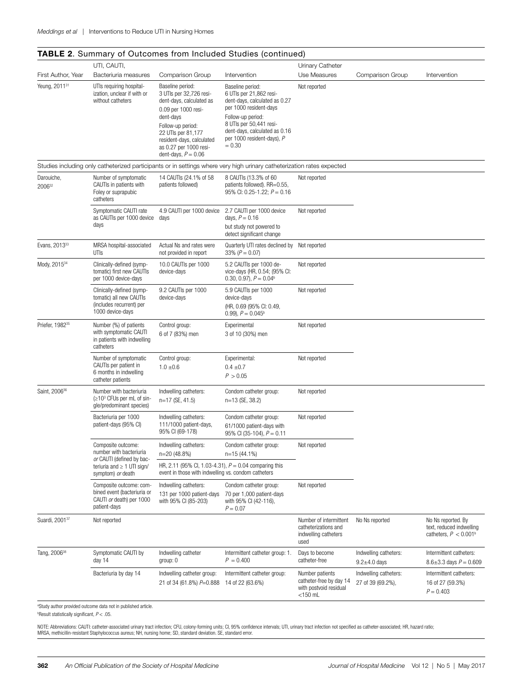### TABLE 2. Summary of Outcomes from Included Studies (continued) First Author, Year UTI, CAUTI, Bacteriuria measures Comparison Group Intervention Urinary Catheter Use Measures Comparison Group Intervention Yeung, 2011<sup>31</sup> UTIs requiring hospitalization, unclear if with or without catheters Baseline period: 3 UTIs per 32,726 resident-days, calculated as 0.09 per 1000 resident-days Follow-up period: 22 UTIs per 81,177 resident-days, calculated as 0.27 per 1000 resident-days, *P* = 0.06 Baseline period: 6 UTIs per 21,862 resident-days, calculated as 0.27 per 1000 resident-days Follow-up period: 8 UTIs per 50,441 resident-days, calculated as 0.16 per 1000 resident-days), *P*   $= 0.30$ Not reported Studies including only catheterized participants or in settings where very high urinary catheterization rates expected Darouiche, 200632 Number of symptomatic CAUTIs in patients with Foley or suprapubic catheters 14 CAUTIs (24.1% of 58 patients followed) 8 CAUTIs (13.3% of 60 patients followed). RR=0.55, 95% CI: 0.25-1.22;  $P = 0.16$ Not reported Symptomatic CAUTI rate as CAUTIs per 1000 device days 4.9 CAUTI per 1000 device days 2.7 CAUTI per 1000 device days, *P* = 0.16 but study not powered to detect significant change Not reported Evans, 2013<sup>33</sup> MRSA hospital-associated UTIs Actual Ns and rates were not provided in report Quarterly UTI rates declined by Not reported 33% (*P* = 0.07) Mody, 2015<sup>34</sup> Clinically-defined (symptomatic) first new CAUTIs per 1000 device-days 10.0 CAUTIs per 1000 device-days 5.2 CAUTIs per 1000 device-days (HR, 0.54; (95% CI: 0.30, 0.97),  $P = 0.04<sup>b</sup>$ Not reported Clinically-defined (symptomatic) all new CAUTIs (includes recurrent) per 1000 device-days 9.2 CAUTIs per 1000 device-days 5.9 CAUTIs per 1000 device-days (HR, 0.69 (95% CI: 0.49, 0.99),  $P = 0.045^{\circ}$ Not reported Priefer, 1982<sup>35</sup> Number (%) of patients with symptomatic CAUTI in patients with indwelling catheters Control group: 6 of 7 (83%) men **Experimental** 3 of 10 (30%) men Not reported Number of symptomatic CAUTIs per patient in 6 months in indwelling catheter patients Control group:  $1.0 \pm 0.6$ Experimental:  $0.4 + 0.7$  $P > 0.05$ Not reported Saint, 2006<sup>36</sup> Number with bacteriuria (≥103 CFUs per mL of single/predominant species) Indwelling catheters: n=17 (SE, 41.5) Condom catheter group: n=13 (SE, 38.2) Not reported Bacteriuria per 1000 patient-days (95% CI) Indwelling catheters: 111/1000 patient-days, 95% CI (69-178) Condom catheter group: 61/1000 patient-days with 95% CI (35-104), *P* = 0.11 Not reported Composite outcome: number with bacteriuria *or* CAUTI (defined by bacteriuria and ≥ 1 UTI sign/ symptom) *or* death Indwelling catheters: n=20 (48.8%) Condom catheter group: n=15 (44.1%) Not reported HR, 2.11 (95% Cl, 1.03-4.31),  $P = 0.04$  comparing this event in those with indwelling vs. condom catheters Composite outcome: combined event (bacteriuria or CAUTI *or* death) per 1000 patient-days Indwelling catheters: 131 per 1000 patient-days with 95% CI (85-203) Condom catheter group: 70 per 1,000 patient-days with 95% CI (42-116),  $P = 0.07$ Not reported Suardi, 2001<sup>37</sup> Not reported Number of intermittent catheterizations and indwelling catheters used No Ns reported No Ns reported. By text, reduced indwelling catheters,  $P < 0.001$ <sup>t</sup> Tang, 2006<sup>38</sup> Symptomatic CAUTI by day 14 Indwelling catheter group: 0 Intermittent catheter group: 1.  $P = 0.400$ Days to become catheter-free Indwelling catheters:  $9.2 \pm 4.0$  days Intermittent catheters:  $8.6 \pm 3.3$  days  $P = 0.609$ Bacteriuria by day 14 Indwelling catheter group: Intermittent catheter group: Number patients Indwelling catheters: Intermittent catheters:

a Study author provided outcome data not in published article.

b Result statistically significant, *P* < .05.

NOTE: Abbreviations: CAUTI: catheter-associated urinary tract infection; CFU, colony-forming units; CI, 95% confidence intervals; UTI, urinary tract infection not specified as catheter-associated; HR, hazard ratio; MRSA, methicillin-resistant Staphylococcus aureus; NH, nursing home; SD, standard deviation. SE, standard error.

14 of 22 (63.6%)

catheter-free by day 14 with postvoid residual  $<$ 150 ml

21 of 34 (61.8%) *P*=0.888

16 of 27 (59.3%)  $P = 0.403$ 

27 of 39 (69.2%),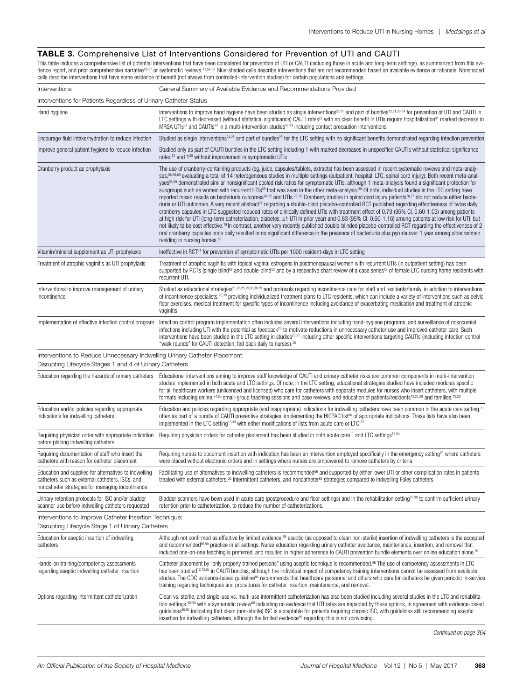### TABLE 3. Comprehensive List of Interventions Considered for Prevention of UTI and CAUTI

This table includes a comprehensive list of potential interventions that have been considered for prevention of UTI or CAUTI (including those in acute and long-term settings), as summarized from this evidence report, and prior comprehensive narrative<sup>43.57</sup> or systematic reviews.<sup>11,58-68</sup> Blue-shaded cells describe interventions that are not recommended based on available evidence or rationale. Nonshaded cells describe interventions that have some evidence of benefit (not always from controlled-intervention studies) for certain populations and settings.

| Interventions                                                                                                                                                | General Summary of Available Evidence and Recommendations Provided                                                                                                                                                                                                                                                                                                                                                                                                                                                                                                                                                                                                                                                                                                                                                                                                                                                                                                                                                                                                                                                                                                                                                                                                                                                                                                                                                                                                                                                                                                                                                                                                             |  |  |  |  |
|--------------------------------------------------------------------------------------------------------------------------------------------------------------|--------------------------------------------------------------------------------------------------------------------------------------------------------------------------------------------------------------------------------------------------------------------------------------------------------------------------------------------------------------------------------------------------------------------------------------------------------------------------------------------------------------------------------------------------------------------------------------------------------------------------------------------------------------------------------------------------------------------------------------------------------------------------------------------------------------------------------------------------------------------------------------------------------------------------------------------------------------------------------------------------------------------------------------------------------------------------------------------------------------------------------------------------------------------------------------------------------------------------------------------------------------------------------------------------------------------------------------------------------------------------------------------------------------------------------------------------------------------------------------------------------------------------------------------------------------------------------------------------------------------------------------------------------------------------------|--|--|--|--|
| Interventions for Patients Regardless of Urinary Catheter Status                                                                                             |                                                                                                                                                                                                                                                                                                                                                                                                                                                                                                                                                                                                                                                                                                                                                                                                                                                                                                                                                                                                                                                                                                                                                                                                                                                                                                                                                                                                                                                                                                                                                                                                                                                                                |  |  |  |  |
| Hand hygiene                                                                                                                                                 | Interventions to improve hand hygiene have been studied as single interventions <sup>22,31</sup> and part of bundles <sup>12,21,33,34</sup> for prevention of UTI and CAUTI in<br>LTC settings with decreased (without statistical significance) CAUTI rates <sup>22</sup> with no clear benefit in UTIs require hospitalization <sup>31</sup> marked decrease in<br>MRSA UTIs <sup>33</sup> and CAUTIs <sup>34</sup> in a multi-intervention studies <sup>33,34</sup> including contact precaution interventions                                                                                                                                                                                                                                                                                                                                                                                                                                                                                                                                                                                                                                                                                                                                                                                                                                                                                                                                                                                                                                                                                                                                                              |  |  |  |  |
| Encourage fluid intake/hydration to reduce infection                                                                                                         | Studied as single interventions <sup>24,26</sup> and part of bundles <sup>25</sup> for the LTC setting with no significant benefits demonstrated regarding infection prevention                                                                                                                                                                                                                                                                                                                                                                                                                                                                                                                                                                                                                                                                                                                                                                                                                                                                                                                                                                                                                                                                                                                                                                                                                                                                                                                                                                                                                                                                                                |  |  |  |  |
| Improve general patient hygiene to reduce infection                                                                                                          | Studied only as part of CAUTI bundles in the LTC setting including 1 with marked decreases in unspecified CAUTIs without statistical significance<br>noted <sup>12</sup> and 1 <sup>20</sup> without improvement in symptomatic UTIs                                                                                                                                                                                                                                                                                                                                                                                                                                                                                                                                                                                                                                                                                                                                                                                                                                                                                                                                                                                                                                                                                                                                                                                                                                                                                                                                                                                                                                           |  |  |  |  |
| Cranberry product as prophylaxis                                                                                                                             | The use of cranberry-containing products (eg, juice, capsules/tablets, extracts) has been assessed in recent systematic reviews and meta-analy-<br>ses, <sup>58,59,69</sup> evaluating a total of 14 heterogeneous studies in multiple settings (outpatient, hospital, LTC, spinal cord injury). Both recent meta-anal-<br>yses <sup>58,59</sup> demonstrated similar nonsignificant pooled risk ratios for symptomatic UTIs, although 1 meta-analysis found a significant protection for<br>subgroups such as women with recurrent UTIs <sup>59</sup> that was seen in the other meta-analysis. <sup>58</sup> Of note, individual studies in the LTC setting have<br>reported mixed results on bacteriuria outcomes70-72 and UTIs.73-75 Cranberry studies in spinal cord injury patients76.77 did not reduce either bacte-<br>riuria or UTI outcomes. A very recent abstract <sup>78</sup> regarding a double-blind placebo-controlled RCT published regarding effectiveness of twice daily<br>cranberry capsules in LTC suggested reduced rates of clinically defined UTIs with treatment effect of 0.79 (95% CI, 0.60-1.03) among patients<br>at high risk for UTI (long-term catheterization, diabetes, ≥1 UTI in prior year) and 0.83 (95% CI, 0.60-1.16) among patients at low risk for UTI, but<br>not likely to be cost effective. <sup>79</sup> In contrast, another very recently published double-blinded placebo-controlled RCT regarding the effectiveness of 2<br>oral cranberry capsules once daily resulted in no significant difference in the presence of bacteriuria plus pyruria over 1 year among older women<br>residing in nursing homes. <sup>80</sup> |  |  |  |  |
| Vitamin/mineral supplement as UTI prophylaxis                                                                                                                | Ineffective in RCT <sup>81</sup> for prevention of symptomatic UTIs per 1000 resident-days in LTC setting                                                                                                                                                                                                                                                                                                                                                                                                                                                                                                                                                                                                                                                                                                                                                                                                                                                                                                                                                                                                                                                                                                                                                                                                                                                                                                                                                                                                                                                                                                                                                                      |  |  |  |  |
| Treatment of atrophic vaginitis as UTI prophylaxis                                                                                                           | Treatment of atrophic vaginitis with topical vaginal estrogens in postmenopausal women with recurrent UTIs (in outpatient setting) has been<br>supported by RCTs (single blind <sup>82</sup> and double-blind <sup>52</sup> and by a respective chart review of a case series <sup>83</sup> of female LTC nursing home residents with<br>recurrent UTI.                                                                                                                                                                                                                                                                                                                                                                                                                                                                                                                                                                                                                                                                                                                                                                                                                                                                                                                                                                                                                                                                                                                                                                                                                                                                                                                        |  |  |  |  |
| Interventions to improve management of urinary<br>incontinence                                                                                               | Studied as educational strategies <sup>21,23,25,29,30,38,39</sup> and protocols regarding incontinence care for staff and residents/family, in addition to interventions<br>of incontinence specialists, <sup>23,39</sup> providing individualized treatment plans to LTC residents, which can include a variety of interventions such as pelvic<br>floor exercises, medical treatment for specific types of incontinence including avoidance of exacerbating medication and treatment of atrophic<br>vaginitis                                                                                                                                                                                                                                                                                                                                                                                                                                                                                                                                                                                                                                                                                                                                                                                                                                                                                                                                                                                                                                                                                                                                                                |  |  |  |  |
| Implementation of effective infection control program                                                                                                        | Infection control program implementation often includes several interventions including hand-hygiene programs, and surveillance of nosocomial<br>infections including UTI with the potential as feedback <sup>20</sup> to motivate reductions in unnecessary catheter use and improved catheter care. Such<br>interventions have been studied in the LTC setting in studies <sup>20,21</sup> including other specific interventions targeting CAUTIs (including infection control<br>"walk rounds" for CAUTI detection, fed back daily to nurses). <sup>20</sup>                                                                                                                                                                                                                                                                                                                                                                                                                                                                                                                                                                                                                                                                                                                                                                                                                                                                                                                                                                                                                                                                                                               |  |  |  |  |
| Interventions to Reduce Unnecessary Indwelling Urinary Catheter Placement:<br>Disrupting Lifecycle Stages 1 and 4 of Urinary Catheters                       |                                                                                                                                                                                                                                                                                                                                                                                                                                                                                                                                                                                                                                                                                                                                                                                                                                                                                                                                                                                                                                                                                                                                                                                                                                                                                                                                                                                                                                                                                                                                                                                                                                                                                |  |  |  |  |
| Education regarding the hazards of urinary catheters                                                                                                         | Educational interventions aiming to improve staff knowledge of CAUTI and urinary catheter risks are common components in multi-intervention<br>studies implemented in both acute and LTC settings. Of note, in the LTC setting, educational strategies studied have included modules specific<br>for all healthcare workers (unlicensed and licensed) who care for catheters with separate modules for nurses who insert catheters, with multiple<br>formats including online, <sup>84,85</sup> small-group teaching sessions and case reviews, and education of patients/residents <sup>13,25,29</sup> and families. <sup>13,29</sup>                                                                                                                                                                                                                                                                                                                                                                                                                                                                                                                                                                                                                                                                                                                                                                                                                                                                                                                                                                                                                                         |  |  |  |  |
| Education and/or policies regarding appropriate<br>indications for indwelling catheters                                                                      | Education and policies regarding appropriate (and inappropriate) indications for indwelling catheters have been common in the acute care setting, <sup>11</sup><br>often as part of a bundle of CAUTI preventive strategies, implementing the HICPAC list <sup>86</sup> of appropriate indications. These lists have also been<br>implemented in the LTC setting <sup>13,39</sup> with either modifications of lists from acute care or LTC. <sup>87</sup>                                                                                                                                                                                                                                                                                                                                                                                                                                                                                                                                                                                                                                                                                                                                                                                                                                                                                                                                                                                                                                                                                                                                                                                                                     |  |  |  |  |
| Requiring physician order with appropriate indication<br>before placing indwelling catheters                                                                 | Requiring physician orders for catheter placement has been studied in both acute care <sup>11</sup> and LTC settings <sup>13,84</sup>                                                                                                                                                                                                                                                                                                                                                                                                                                                                                                                                                                                                                                                                                                                                                                                                                                                                                                                                                                                                                                                                                                                                                                                                                                                                                                                                                                                                                                                                                                                                          |  |  |  |  |
| Requiring documentation of staff who insert the<br>catheters with reason for catheter placement                                                              | Requiring nurses to document insertion with indication has been an intervention employed specifically in the emergency setting <sup>84</sup> where catheters<br>were placed without electronic orders and in settings where nurses are empowered to remove catheters by criteria                                                                                                                                                                                                                                                                                                                                                                                                                                                                                                                                                                                                                                                                                                                                                                                                                                                                                                                                                                                                                                                                                                                                                                                                                                                                                                                                                                                               |  |  |  |  |
| Education and supplies for alternatives to indwelling<br>catheters such as external catheters, ISCs, and<br>noncatheter strategies for managing incontinence | Facilitating use of alternatives to indwelling catheters is recommended <sup>86</sup> and supported by either lower UTI or other complication rates in patients<br>treated with external catheters, <sup>36</sup> intermittent catheters, and noncatheter <sup>88</sup> strategies compared to indwelling Foley catheters                                                                                                                                                                                                                                                                                                                                                                                                                                                                                                                                                                                                                                                                                                                                                                                                                                                                                                                                                                                                                                                                                                                                                                                                                                                                                                                                                      |  |  |  |  |
| Urinary retention protocols for ISC and/or bladder<br>scanner use before indwelling catheters requested                                                      | Bladder scanners have been used in acute care (postprocedure and floor settings) and in the rehabilitation setting <sup>37,38</sup> to confirm sufficient urinary<br>retention prior to catheterization, to reduce the number of catheterizations.                                                                                                                                                                                                                                                                                                                                                                                                                                                                                                                                                                                                                                                                                                                                                                                                                                                                                                                                                                                                                                                                                                                                                                                                                                                                                                                                                                                                                             |  |  |  |  |
| Interventions to Improve Catheter Insertion Technique:<br>Disrupting Lifecycle Stage 1 of Urinary Catheters                                                  |                                                                                                                                                                                                                                                                                                                                                                                                                                                                                                                                                                                                                                                                                                                                                                                                                                                                                                                                                                                                                                                                                                                                                                                                                                                                                                                                                                                                                                                                                                                                                                                                                                                                                |  |  |  |  |
| Education for aseptic insertion of indwelling<br>catheters                                                                                                   | Although not confirmed as effective by limited evidence, <sup>89</sup> aseptic (as opposed to clean non-sterile) insertion of indwelling catheters is the accepted<br>and recommended <sup>86,90</sup> practice in all settings. Nurse education regarding urinary catheter avoidance, maintenance, insertion, and removal that<br>included one-on-one teaching is preferred, and resulted in higher adherence to CAUTI prevention bundle elements over online education alone. <sup>91</sup>                                                                                                                                                                                                                                                                                                                                                                                                                                                                                                                                                                                                                                                                                                                                                                                                                                                                                                                                                                                                                                                                                                                                                                                  |  |  |  |  |
| Hands-on training/competency assessments<br>regarding aseptic indwelling catheter insertion                                                                  | Catheter placement by "only properly trained persons" using aseptic technique is recommended. <sup>86</sup> The use of competency assessments in LTC<br>has been studied <sup>12,13,85</sup> in CAUTI bundles, although the individual impact of competency training interventions cannot be assessed from available<br>studies. The CDC evidence-based quideline <sup>86</sup> recommends that healthcare personnel and others who care for catheters be given periodic in-service<br>training regarding techniques and procedures for catheter insertion, maintenance, and removal.                                                                                                                                                                                                                                                                                                                                                                                                                                                                                                                                                                                                                                                                                                                                                                                                                                                                                                                                                                                                                                                                                          |  |  |  |  |
| Options regarding intermittent catheterization                                                                                                               | Clean vs. sterile, and single-use vs. multi-use intermittent catheterization has also been studied including several studies in the LTC and rehabilita-<br>tion settings, <sup>92-95</sup> with a systematic review <sup>60</sup> indicating no evidence that UTI rates are impacted by these options, in agreement with evidence-based<br>guidelines <sup>86,90</sup> indicating that clean (non-sterile) ISC is acceptable for patients requiring chronic ISC, with guidelines still recommending aseptic<br>insertion for indwelling catheters, although the limited evidence <sup>89</sup> regarding this is not convincing.                                                                                                                                                                                                                                                                                                                                                                                                                                                                                                                                                                                                                                                                                                                                                                                                                                                                                                                                                                                                                                               |  |  |  |  |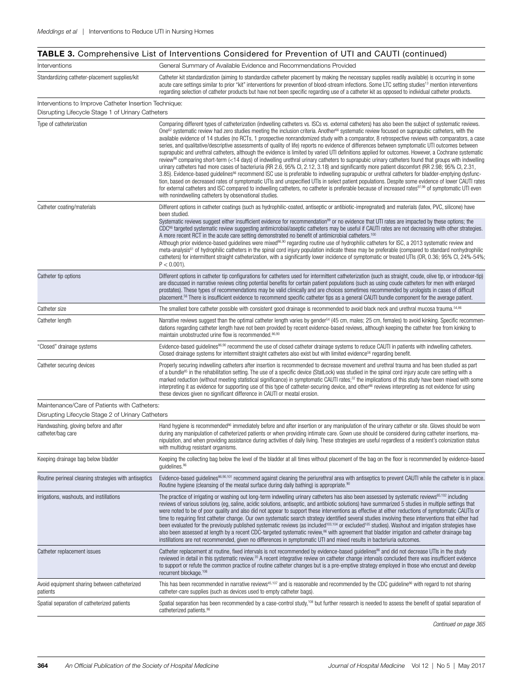|  | <b>TABLE 3.</b> Comprehensive List of Interventions Considered for Prevention of UTI and CAUTI (continued) |  |  |
|--|------------------------------------------------------------------------------------------------------------|--|--|
|  |                                                                                                            |  |  |

| Interventions                                                                                               | General Summary of Available Evidence and Recommendations Provided                                                                                                                                                                                                                                                                                                                                                                                                                                                                                                                                                                                                                                                                                                                                                                                                                                                                                                                                                                                                                                                                                                                                                                                                                                                                                                                                                                                                                                                                                                                                                                                               |
|-------------------------------------------------------------------------------------------------------------|------------------------------------------------------------------------------------------------------------------------------------------------------------------------------------------------------------------------------------------------------------------------------------------------------------------------------------------------------------------------------------------------------------------------------------------------------------------------------------------------------------------------------------------------------------------------------------------------------------------------------------------------------------------------------------------------------------------------------------------------------------------------------------------------------------------------------------------------------------------------------------------------------------------------------------------------------------------------------------------------------------------------------------------------------------------------------------------------------------------------------------------------------------------------------------------------------------------------------------------------------------------------------------------------------------------------------------------------------------------------------------------------------------------------------------------------------------------------------------------------------------------------------------------------------------------------------------------------------------------------------------------------------------------|
| Standardizing catheter-placement supplies/kit                                                               | Catheter kit standardization (aiming to standardize catheter placement by making the necessary supplies readily available) is occurring in some<br>acute care settings similar to prior "kit" interventions for prevention of blood-stream infections. Some LTC setting studies <sup>13</sup> mention interventions<br>regarding selection of catheter products but have not been specific regarding use of a catheter kit as opposed to individual catheter products.                                                                                                                                                                                                                                                                                                                                                                                                                                                                                                                                                                                                                                                                                                                                                                                                                                                                                                                                                                                                                                                                                                                                                                                           |
| Interventions to Improve Catheter Insertion Technique:<br>Disrupting Lifecycle Stage 1 of Urinary Catheters |                                                                                                                                                                                                                                                                                                                                                                                                                                                                                                                                                                                                                                                                                                                                                                                                                                                                                                                                                                                                                                                                                                                                                                                                                                                                                                                                                                                                                                                                                                                                                                                                                                                                  |
| Type of catheterization                                                                                     | Comparing different types of catheterization (indwelling catheters vs. ISCs vs. external catheters) has also been the subject of systematic reviews.<br>One <sup>62</sup> systematic review had zero studies meeting the inclusion criteria. Another <sup>66</sup> systematic review focused on suprapubic catheters, with the<br>available evidence of 14 studies (no RCTs, 1 prospective nonrandomized study with a comparator, 8 retrospective reviews with comparators, a case<br>series, and qualitative/descriptive assessments of quality of life) reports no evidence of differences between symptomatic UTI outcomes between<br>suprapubic and urethral catheters, although the evidence is limited by varied UTI definitions applied for outcomes. However, a Cochrane systematic<br>review <sup>96</sup> comparing short-term (<14 days) of indwelling urethral urinary catheters to suprapubic urinary catheters found that groups with indwelling<br>urinary catheters had more cases of bacteriuria (RR 2.6, 95% CI, 2.12, 3.18) and significantly more patient discomfort (RR 2.98; 95% CI, 2.31,<br>3.85). Evidence-based guidelines <sup>86</sup> recommend ISC use is preferable to indwelling suprapubic or urethral catheters for bladder-emptying dysfunc-<br>tion, based on decreased rates of symptomatic UTIs and unspecified UTIs in select patient populations. Despite some evidence of lower CAUTI rates<br>for external catheters and ISC compared to indwelling catheters, no catheter is preferable because of increased rates <sup>97,98</sup> of symptomatic UTI even<br>with nonindwelling catheters by observational studies. |
| Catheter coating/materials                                                                                  | Different options in catheter coatings (such as hydrophilic-coated, antiseptic or antibiotic-impregnated) and materials (latex, PVC, silicone) have<br>been studied.<br>Systematic reviews suggest either insufficient evidence for recommendation <sup>99</sup> or no evidence that UTI rates are impacted by these options; the<br>CDC <sup>®6</sup> targeted systematic review suggesting antimicrobial/aseptic catheters may be useful if CAUTI rates are not decreasing with other strategies.<br>A more recent RCT in the acute care setting demonstrated no benefit of antimicrobial catheters. <sup>100</sup><br>Although prior evidence-based guidelines were mixed <sup>86,90</sup> regarding routine use of hydrophilic catheters for ISC, a 2013 systematic review and<br>meta-analysis <sup>61</sup> of hydrophilic catheters in the spinal cord injury population indicate these may be preferable (compared to standard nonhydrophilic<br>catheters) for intermittent straight catheterization, with a significantly lower incidence of symptomatic or treated UTIs (OR, 0.36; 95% CI, 24%-54%;<br>$P < 0.001$ ).                                                                                                                                                                                                                                                                                                                                                                                                                                                                                                                                 |
| Catheter tip options                                                                                        | Different options in catheter tip configurations for catheters used for intermittent catheterization (such as straight, coude, olive tip, or introducer-tip)<br>are discussed in narrative reviews citing potential benefits for certain patient populations (such as using coude catheters for men with enlarged<br>prostates). These types of recommendations may be valid clinically and are choices sometimes recommended by urologists in cases of difficult<br>placement. <sup>56</sup> There is insufficient evidence to recommend specific catheter tips as a general CAUTI bundle component for the average patient.                                                                                                                                                                                                                                                                                                                                                                                                                                                                                                                                                                                                                                                                                                                                                                                                                                                                                                                                                                                                                                    |
| Catheter size                                                                                               | The smallest bore catheter possible with consistent good drainage is recommended to avoid black neck and urethral mucosa trauma. <sup>54,86</sup>                                                                                                                                                                                                                                                                                                                                                                                                                                                                                                                                                                                                                                                                                                                                                                                                                                                                                                                                                                                                                                                                                                                                                                                                                                                                                                                                                                                                                                                                                                                |
| Catheter length                                                                                             | Narrative reviews suggest than the optimal catheter length varies by gender <sup>54</sup> (45 cm, males; 25 cm, females) to avoid kinking. Specific recommen-<br>dations regarding catheter length have not been provided by recent evidence-based reviews, although keeping the catheter free from kinking to<br>maintain unobstructed urine flow is recommended. 86,90                                                                                                                                                                                                                                                                                                                                                                                                                                                                                                                                                                                                                                                                                                                                                                                                                                                                                                                                                                                                                                                                                                                                                                                                                                                                                         |
| "Closed" drainage systems                                                                                   | Evidence-based guidelines <sup>86,90</sup> recommend the use of closed catheter drainage systems to reduce CAUTI in patients with indwelling catheters.<br>Closed drainage systems for intermittent straight catheters also exist but with limited evidence <sup>56</sup> regarding benefit.                                                                                                                                                                                                                                                                                                                                                                                                                                                                                                                                                                                                                                                                                                                                                                                                                                                                                                                                                                                                                                                                                                                                                                                                                                                                                                                                                                     |
| Catheter securing devices                                                                                   | Properly securing indwelling catheters after insertion is recommended to decrease movement and urethral trauma and has been studied as part<br>of a bundle <sup>85</sup> in the rehabilitation setting. The use of a specific device (StatLock) was studied in the spinal cord injury acute care setting with a<br>marked reduction (without meeting statistical significance) in symptomatic CAUTI rates; <sup>32</sup> the implications of this study have been mixed with some<br>interpreting it as evidence for supporting use of this type of catheter-securing device, and other <sup>86</sup> reviews interpreting as not evidence for using<br>these devices given no significant difference in CAUTI or meatal erosion.                                                                                                                                                                                                                                                                                                                                                                                                                                                                                                                                                                                                                                                                                                                                                                                                                                                                                                                                |
| Maintenance/Care of Patients with Catheters:                                                                |                                                                                                                                                                                                                                                                                                                                                                                                                                                                                                                                                                                                                                                                                                                                                                                                                                                                                                                                                                                                                                                                                                                                                                                                                                                                                                                                                                                                                                                                                                                                                                                                                                                                  |
| Disrupting Lifecycle Stage 2 of Urinary Catheters                                                           |                                                                                                                                                                                                                                                                                                                                                                                                                                                                                                                                                                                                                                                                                                                                                                                                                                                                                                                                                                                                                                                                                                                                                                                                                                                                                                                                                                                                                                                                                                                                                                                                                                                                  |
| Handwashing, gloving before and after<br>catheter/bag care                                                  | Hand hygiene is recommended <sup>86</sup> immediately before and after insertion or any manipulation of the urinary catheter or site. Gloves should be worn<br>during any manipulation of catheterized patients or when providing intimate care. Gown use should be considered during catheter insertions, ma-<br>nipulation, and when providing assistance during activities of daily living. These strategies are useful regardless of a resident's colonization status<br>with multidrug resistant organisms.                                                                                                                                                                                                                                                                                                                                                                                                                                                                                                                                                                                                                                                                                                                                                                                                                                                                                                                                                                                                                                                                                                                                                 |
| Keeping drainage bag below bladder                                                                          | Keeping the collecting bag below the level of the bladder at all times without placement of the bag on the floor is recommended by evidence-based<br>quidelines. <sup>86</sup>                                                                                                                                                                                                                                                                                                                                                                                                                                                                                                                                                                                                                                                                                                                                                                                                                                                                                                                                                                                                                                                                                                                                                                                                                                                                                                                                                                                                                                                                                   |
| Routine perineal cleaning strategies with antiseptics                                                       | Evidence-based guidelines <sup>86,90,101</sup> recommend against cleaning the periurethral area with antiseptics to prevent CAUTI while the catheter is in place.<br>Routine hygiene (cleansing of the meatal surface during daily bathing) is appropriate. <sup>90</sup>                                                                                                                                                                                                                                                                                                                                                                                                                                                                                                                                                                                                                                                                                                                                                                                                                                                                                                                                                                                                                                                                                                                                                                                                                                                                                                                                                                                        |
| Irrigations, washouts, and instillations                                                                    | The practice of irrigating or washing out long-term indwelling urinary catheters has also been assessed by systematic reviews <sup>65,102</sup> including<br>reviews of various solutions (eq. saline, acidic solutions, antiseptic, and antibiotic solutions) have summarized 5 studies in multiple settings that<br>were noted to be of poor quality and also did not appear to support these interventions as effective at either reductions of symptomatic CAUTIs or<br>time to requiring first catheter change. Our own systematic search strategy identified several studies involving these interventions that either had<br>been evaluated for the previously published systematic reviews (as included <sup>103,104</sup> or excluded <sup>105</sup> studies). Washout and irrigation strategies have<br>also been assessed at length by a recent CDC-targeted systematic review, <sup>86</sup> with agreement that bladder irrigation and catheter drainage bag<br>instillations are not recommended, given no differences in symptomatic UTI and mixed results in bacteriuria outcomes.                                                                                                                                                                                                                                                                                                                                                                                                                                                                                                                                                               |
| Catheter replacement issues                                                                                 | Catheter replacement at routine, fixed intervals is not recommended by evidence-based guidelines <sup>86</sup> and did not decrease UTIs in the study<br>reviewed in detail in this systematic review. <sup>35</sup> A recent integrative review on catheter change intervals concluded there was insufficient evidence<br>to support or refute the common practice of routine catheter changes but is a pre-emptive strategy employed in those who encrust and develop<br>recurrent blockage. <sup>106</sup>                                                                                                                                                                                                                                                                                                                                                                                                                                                                                                                                                                                                                                                                                                                                                                                                                                                                                                                                                                                                                                                                                                                                                    |
| Avoid equipment sharing between catheterized<br>patients                                                    | This has been recommended in narrative reviews <sup>45,107</sup> and is reasonable and recommended by the CDC quideline <sup>86</sup> with regard to not sharing<br>catheter-care supplies (such as devices used to empty catheter bags).                                                                                                                                                                                                                                                                                                                                                                                                                                                                                                                                                                                                                                                                                                                                                                                                                                                                                                                                                                                                                                                                                                                                                                                                                                                                                                                                                                                                                        |
| Spatial separation of catheterized patients                                                                 | Spatial separation has been recommended by a case-control study, <sup>108</sup> but further research is needed to assess the benefit of spatial separation of<br>catheterized patients. <sup>86</sup>                                                                                                                                                                                                                                                                                                                                                                                                                                                                                                                                                                                                                                                                                                                                                                                                                                                                                                                                                                                                                                                                                                                                                                                                                                                                                                                                                                                                                                                            |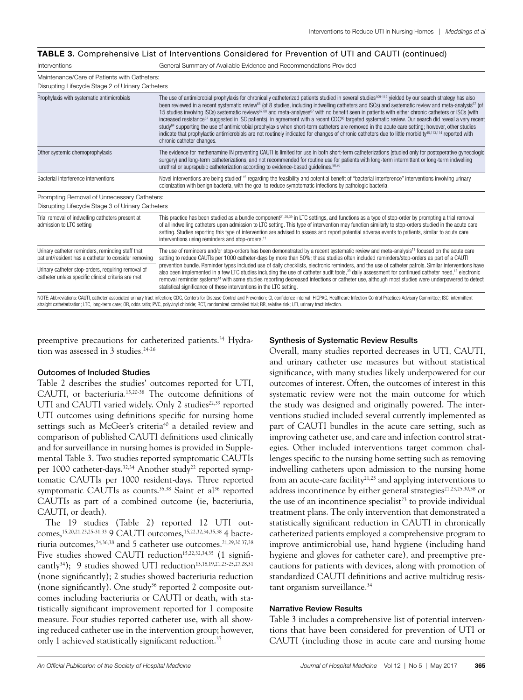| Interventions                                                                                            | General Summary of Available Evidence and Recommendations Provided                                                                                                                                                                                                                                                                                                                                                                                                                                                                                                                                                                                                                                                                                                                                                                                                                                                                                                                                                                                                              |  |  |  |
|----------------------------------------------------------------------------------------------------------|---------------------------------------------------------------------------------------------------------------------------------------------------------------------------------------------------------------------------------------------------------------------------------------------------------------------------------------------------------------------------------------------------------------------------------------------------------------------------------------------------------------------------------------------------------------------------------------------------------------------------------------------------------------------------------------------------------------------------------------------------------------------------------------------------------------------------------------------------------------------------------------------------------------------------------------------------------------------------------------------------------------------------------------------------------------------------------|--|--|--|
| Maintenance/Care of Patients with Catheters:<br>Disrupting Lifecycle Stage 2 of Urinary Catheters        |                                                                                                                                                                                                                                                                                                                                                                                                                                                                                                                                                                                                                                                                                                                                                                                                                                                                                                                                                                                                                                                                                 |  |  |  |
| Prophylaxis with systematic antimicrobials                                                               | The use of antimicrobial prophylaxis for chronically catheterized patients studied in several studies <sup>109-112</sup> yielded by our search strategy has also<br>been reviewed in a recent systematic review <sup>68</sup> (of 8 studies, including indwelling catheters and ISCs) and systematic review and meta-analysis <sup>67</sup> (of<br>15 studies involving ISCs) systematic reviews <sup>67,68</sup> and meta-analyses <sup>67</sup> with no benefit seen in patients with either chronic catheters or ISCs (with<br>increased resistance <sup>67</sup> suggested in ISC patients), in agreement with a recent CDC <sup>86</sup> targeted systematic review. Our search did reveal a very recent<br>study <sup>64</sup> supporting the use of antimicrobial prophylaxis when short-term catheters are removed in the acute care setting; however, other studies<br>indicate that prophylactic antimicrobials are not routinely indicated for changes of chronic catheters due to little morbidity <sup>45,113,114</sup> reported with<br>chronic catheter changes. |  |  |  |
| Other systemic chemoprophylaxis                                                                          | The evidence for methenamine IN preventing CAUTI is limited for use in both short-term catheterizations (studied only for postoperative gynecologic<br>surgery) and long-term catheterizations, and not recommended for routine use for patients with long-term intermittent or long-term indwelling<br>urethral or suprapubic catheterization according to evidence-based quidelines. 86,90                                                                                                                                                                                                                                                                                                                                                                                                                                                                                                                                                                                                                                                                                    |  |  |  |
| Bacterial interference interventions                                                                     | Novel interventions are being studied <sup>115</sup> regarding the feasibility and potential benefit of "bacterial interference" interventions involving urinary<br>colonization with benign bacteria, with the goal to reduce symptomatic infections by pathologic bacteria.                                                                                                                                                                                                                                                                                                                                                                                                                                                                                                                                                                                                                                                                                                                                                                                                   |  |  |  |
| Prompting Removal of Unnecessary Catheters:                                                              |                                                                                                                                                                                                                                                                                                                                                                                                                                                                                                                                                                                                                                                                                                                                                                                                                                                                                                                                                                                                                                                                                 |  |  |  |
| Disrupting Lifecycle Stage 3 of Urinary Catheters                                                        |                                                                                                                                                                                                                                                                                                                                                                                                                                                                                                                                                                                                                                                                                                                                                                                                                                                                                                                                                                                                                                                                                 |  |  |  |
| Trial removal of indwelling catheters present at<br>admission to LTC setting                             | This practice has been studied as a bundle component <sup>21,25,39</sup> in LTC settings, and functions as a type of stop-order by prompting a trial removal<br>of all indwelling catheters upon admission to LTC setting. This type of intervention may function similarly to stop-orders studied in the acute care<br>setting. Studies reporting this type of intervention are advised to assess and report potential adverse events to patients, similar to acute care<br>interventions using reminders and stop-orders. <sup>11</sup>                                                                                                                                                                                                                                                                                                                                                                                                                                                                                                                                       |  |  |  |
| Urinary catheter reminders, reminding staff that<br>patient/resident has a catheter to consider removing | The use of reminders and/or stop-orders has been demonstrated by a recent systematic review and meta-analysis <sup>11</sup> focused on the acute care<br>setting to reduce CAUTIs per 1000 catheter-days by more than 50%; these studies often included reminders/stop-orders as part of a CAUTI                                                                                                                                                                                                                                                                                                                                                                                                                                                                                                                                                                                                                                                                                                                                                                                |  |  |  |
| Urinary catheter stop-orders, requiring removal of<br>catheter unless specific clinical criteria are met | prevention bundle. Reminder types included use of daily checklists, electronic reminders, and the use of catheter patrols. Similar interventions have<br>also been implemented in a few LTC studies including the use of catheter audit tools, <sup>39</sup> daily assessment for continued catheter need, <sup>13</sup> electronic<br>removal reminder systems <sup>14</sup> with some studies reporting decreased infections or catheter use, although most studies were underpowered to detect<br>statistical significance of these interventions in the LTC setting.                                                                                                                                                                                                                                                                                                                                                                                                                                                                                                        |  |  |  |
|                                                                                                          | NOTE: Abbreviations: CAUTI, catheter-associated urinary tract infection; CDC, Centers for Disease Control and Prevention; CI, confidence interval; HICPAC, Healthcare Infection Control Practices Advisory Committee; ISC, int                                                                                                                                                                                                                                                                                                                                                                                                                                                                                                                                                                                                                                                                                                                                                                                                                                                  |  |  |  |

preemptive precautions for catheterized patients.34 Hydra-

straight catheterization; LTC, long-term care; OR, odds ratio; PVC, polyvinyl chloride; RCT, randomized controlled trial; RR, relative risk; UTI, urinary tract infection.

### Outcomes of Included Studies

tion was assessed in  $3$  studies.<sup>24-26</sup>

Table 2 describes the studies' outcomes reported for UTI, CAUTI, or bacteriuria.15,20-38 The outcome definitions of UTI and CAUTI varied widely. Only 2 studies<sup>22,39</sup> reported UTI outcomes using definitions specific for nursing home settings such as McGeer's criteria<sup>40</sup> a detailed review and comparison of published CAUTI definitions used clinically and for surveillance in nursing homes is provided in Supplemental Table 3. Two studies reported symptomatic CAUTIs per 1000 catheter-days.<sup>32,34</sup> Another study<sup>22</sup> reported symptomatic CAUTIs per 1000 resident-days. Three reported symptomatic CAUTIs as counts.<sup>35,38</sup> Saint et al<sup>36</sup> reported CAUTIs as part of a combined outcome (ie, bacteriuria, CAUTI, or death).

The 19 studies (Table 2) reported 12 UTI outcomes,<sup>15,20,21,23,25-31,33</sup> 9 CAUTI outcomes,<sup>15,22,32,34,35,38</sup> 4 bacteriuria outcomes,<sup>24,36,38</sup> and 5 catheter use outcomes.<sup>21,29,30,37,38</sup> Five studies showed CAUTI reduction<sup>15,22,32,34,35</sup> (1 significantly<sup>34</sup>); 9 studies showed UTI reduction<sup>13,18,19,21,23-25,27,28,31</sup> (none significantly); 2 studies showed bacteriuria reduction (none significantly). One study<sup>36</sup> reported 2 composite outcomes including bacteriuria or CAUTI or death, with statistically significant improvement reported for 1 composite measure. Four studies reported catheter use, with all showing reduced catheter use in the intervention group; however, only 1 achieved statistically significant reduction.<sup>37</sup>

### Synthesis of Systematic Review Results

Overall, many studies reported decreases in UTI, CAUTI, and urinary catheter use measures but without statistical significance, with many studies likely underpowered for our outcomes of interest. Often, the outcomes of interest in this systematic review were not the main outcome for which the study was designed and originally powered. The interventions studied included several currently implemented as part of CAUTI bundles in the acute care setting, such as improving catheter use, and care and infection control strategies. Other included interventions target common challenges specific to the nursing home setting such as removing indwelling catheters upon admission to the nursing home from an acute-care facility $21,25$  and applying interventions to address incontinence by either general strategies<sup>21,23,25,30,38</sup> or the use of an incontinence specialist<sup>23</sup> to provide individual treatment plans. The only intervention that demonstrated a statistically significant reduction in CAUTI in chronically catheterized patients employed a comprehensive program to improve antimicrobial use, hand hygiene (including hand hygiene and gloves for catheter care), and preemptive precautions for patients with devices, along with promotion of standardized CAUTI definitions and active multidrug resistant organism surveillance.<sup>34</sup>

### Narrative Review Results

Table 3 includes a comprehensive list of potential interventions that have been considered for prevention of UTI or CAUTI (including those in acute care and nursing home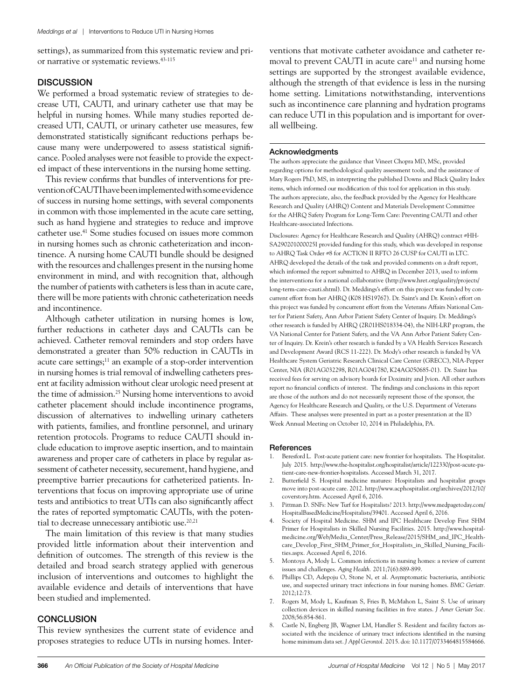settings), as summarized from this systematic review and prior narrative or systematic reviews.43-115

## **DISCUSSION**

We performed a broad systematic review of strategies to decrease UTI, CAUTI, and urinary catheter use that may be helpful in nursing homes. While many studies reported decreased UTI, CAUTI, or urinary catheter use measures, few demonstrated statistically significant reductions perhaps because many were underpowered to assess statistical significance. Pooled analyses were not feasible to provide the expected impact of these interventions in the nursing home setting.

This review confirms that bundles of interventions for prevention of CAUTI have been implemented with some evidence of success in nursing home settings, with several components in common with those implemented in the acute care setting, such as hand hygiene and strategies to reduce and improve catheter use.41 Some studies focused on issues more common in nursing homes such as chronic catheterization and incontinence. A nursing home CAUTI bundle should be designed with the resources and challenges present in the nursing home environment in mind, and with recognition that, although the number of patients with catheters is less than in acute care, there will be more patients with chronic catheterization needs and incontinence.

Although catheter utilization in nursing homes is low, further reductions in catheter days and CAUTIs can be achieved. Catheter removal reminders and stop orders have demonstrated a greater than 50% reduction in CAUTIs in acute care settings;<sup>11</sup> an example of a stop-order intervention in nursing homes is trial removal of indwelling catheters present at facility admission without clear urologic need present at the time of admission.<sup>25</sup> Nursing home interventions to avoid catheter placement should include incontinence programs, discussion of alternatives to indwelling urinary catheters with patients, families, and frontline personnel, and urinary retention protocols. Programs to reduce CAUTI should include education to improve aseptic insertion, and to maintain awareness and proper care of catheters in place by regular assessment of catheter necessity, securement, hand hygiene, and preemptive barrier precautions for catheterized patients. Interventions that focus on improving appropriate use of urine tests and antibiotics to treat UTIs can also significantly affect the rates of reported symptomatic CAUTIs, with the potential to decrease unnecessary antibiotic use.<sup>20,21</sup>

The main limitation of this review is that many studies provided little information about their intervention and definition of outcomes. The strength of this review is the detailed and broad search strategy applied with generous inclusion of interventions and outcomes to highlight the available evidence and details of interventions that have been studied and implemented.

## **CONCLUSION**

This review synthesizes the current state of evidence and proposes strategies to reduce UTIs in nursing homes. Inter-

ventions that motivate catheter avoidance and catheter removal to prevent CAUTI in acute care<sup>11</sup> and nursing home settings are supported by the strongest available evidence, although the strength of that evidence is less in the nursing home setting. Limitations notwithstanding, interventions such as incontinence care planning and hydration programs can reduce UTI in this population and is important for overall wellbeing.

## Acknowledgments

The authors appreciate the guidance that Vineet Chopra MD, MSc, provided regarding options for methodological quality assessment tools, and the assistance of Mary Rogers PhD, MS, in interpreting the published Downs and Black Quality Index items, which informed our modification of this tool for application in this study. The authors appreciate, also, the feedback provided by the Agency for Healthcare Research and Quality (AHRQ) Content and Materials Development Committee for the AHRQ Safety Program for Long-Term Care: Preventing CAUTI and other Healthcare-associated Infections.

Disclosures: Agency for Healthcare Research and Quality (AHRQ) contract #HH-SA290201000025I provided funding for this study, which was developed in response to AHRQ Task Order #8 for ACTION II RFTO 26 CUSP for CAUTI in LTC. AHRQ developed the details of the task and provided comments on a draft report, which informed the report submitted to AHRQ in December 2013, used to inform the interventions for a national collaborative (http://www.hret.org/quality/projects/ long-term-care-cauti.shtml). Dr. Meddings's effort on this project was funded by concurrent effort from her AHRQ (K08 HS19767). Dr. Saint's and Dr. Krein's effort on this project was funded by concurrent effort from the Veterans Affairs National Center for Patient Safety, Ann Arbor Patient Safety Center of Inquiry. Dr. Meddings's other research is funded by AHRQ (2R01HS018334-04), the NIH-LRP program, the VA National Center for Patient Safety, and the VA Ann Arbor Patient Safety Center of Inquiry. Dr. Krein's other research is funded by a VA Health Services Research and Development Award (RCS 11-222). Dr. Mody's other research is funded by VA Healthcare System Geriatric Research Clinical Care Center (GRECC), NIA-Pepper Center, NIA (R01AG032298, R01AG041780, K24AG050685-01). Dr. Saint has received fees for serving on advisory boards for Doximity and Jvion. All other authors report no financial conflicts of interest. The findings and conclusions in this report are those of the authors and do not necessarily represent those of the sponsor, the Agency for Healthcare Research and Quality, or the U.S. Department of Veterans Affairs. These analyses were presented in part as a poster presentation at the ID Week Annual Meeting on October 10, 2014 in Philadelphia, PA.

## **References**

- 1. Beresford L. Post-acute patient care: new frontier for hospitalists. The Hospitalist. July 2015. http://www.the-hospitalist.org/hospitalist/article/122330/post-acute-patient-care-new-frontier-hospitalists. Accessed March 31, 2017.
- 2. Butterfield S. Hospital medicine matures: Hospitalists and hospitalist groups move into post-acute care. 2012. http://www.acphospitalist.org/archives/2012/10/ coverstory.htm. Accessed April 6, 2016.
- 3. Pittman D. SNFs: New Turf for Hospitalists? 2013. http://www.medpagetoday.com/ HospitalBasedMedicine/Hospitalists/39401. Accessed April 6, 2016.
- 4. Society of Hospital Medicine. SHM and IPC Healthcare Develop First SHM Primer for Hospitalists in Skilled Nursing Facilities. 2015. http://www.hospitalmedicine.org/Web/Media\_Center/Press\_Release/2015/SHM\_and\_IPC\_Healthcare\_Develop\_First\_SHM\_Primer\_for\_Hospitalists\_in\_Skilled\_Nursing\_Facilities.aspx. Accessed April 6, 2016.
- 5. Montoya A, Mody L. Common infections in nursing homes: a review of current issues and challenges. *Aging Health.* 2011;7(6):889-899.
- 6. Phillips CD, Adepoju O, Stone N, et al. Asymptomatic bacteriuria, antibiotic use, and suspected urinary tract infections in four nursing homes. *BMC Geriatr.*  2012;12:73.
- 7. Rogers M, Mody L, Kaufman S, Fries B, McMahon L, Saint S. Use of urinary collection devices in skilled nursing facilities in five states. *J Amer Geriatr Soc.*  2008;56:854-861.
- 8. Castle N, Engberg JB, Wagner LM, Handler S. Resident and facility factors associated with the incidence of urinary tract infections identified in the nursing home minimum data set. *J Appl Gerontol.* 2015. doi: 10.1177/0733464815584666.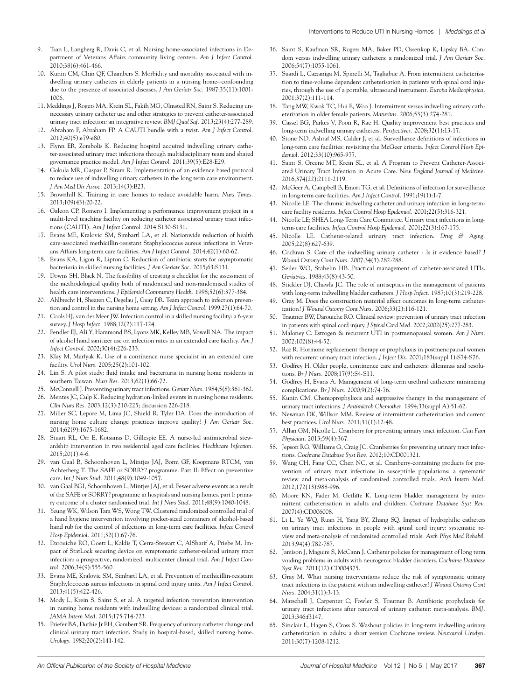- 9. Tsan L, Langberg R, Davis C, et al. Nursing home-associated infections in Department of Veterans Affairs community living centers. *Am J Infect Control.*  2010;38(6):461-466.
- 10. Kunin CM, Chin QF, Chambers S. Morbidity and mortality associated with indwelling urinary catheters in elderly patients in a nursing home--confounding due to the presence of associated diseases. *J Am Geriatr Soc.* 1987;35(11):1001- 1006.
- 11. Meddings J, Rogers MA, Krein SL, Fakih MG, Olmsted RN, Saint S. Reducing unnecessary urinary catheter use and other strategies to prevent catheter-associated urinary tract infection: an integrative review. *BMJ Qual Saf.* 2013;23(4):277-289.
- 12. Abraham F, Abraham FP. A CAUTI bundle with a twist. *Am J Infect Control.*  2012;40(5):e79-e80.
- 13. Flynn ER, Zombolis K. Reducing hospital acquired indwelling urinary catheter-associated urinary tract infections through multidisciplinary team and shared governance practice model. *Am J Infect Control.* 2011;39(5):E28-E29.
- 14. Gokula MR, Gaspar P, Siram R. Implementation of an evidence based protocol to reduce use of indwelling urinary catheters in the long term care environment. *J Am Med Dir Assoc.* 2013;14(3):B23.
- 15. Brownhill K. Training in care homes to reduce avoidable harm. *Nurs Times.*  2013;109(43):20-22.
- 16. Galeon CP, Romero I. Implementing a performance improvement project in a multi-level teaching facility on reducing catheter associated urinary tract infections (CAUTI). *Am J Infect Control.* 2014:S130-S131.
- 17. Evans ME, Kralovic SM, Simbartl LA, et al. Nationwide reduction of health care-associated methicillin-resistant Staphylococcus aureus infections in Veterans Affairs long-term care facilities. *Am J Infect Control.* 2014;42(1):60-62.
- 18. Evans KA, Ligon R, Lipton C. Reduction of antibiotic starts for asymptomatic bacteriuria in skilled nursing facilities. *J Am Geriatr Soc.* 2015;63:S131.
- 19. Downs SH, Black N. The feasibility of creating a checklist for the assessment of the methodological quality both of randomised and non-randomised studies of health care interventions. *J Epidemiol Community Health.* 1998;52(6):377-384.
- 20. Ahlbrecht H, Shearen C, Degelau J, Guay DR. Team approach to infection prevention and control in the nursing home setting. *Am J Infect Control.* 1999;27(1):64-70.
- 21. Cools HJ, van der Meer JW. Infection control in a skilled nursing facility: a 6-year survey. *J Hosp Infect.* 1988;12(2):117-124.
- 22. Fendler EJ, Ali Y, Hammond BS, Lyons MK, Kelley MB, Vowell NA. The impact of alcohol hand sanitizer use on infection rates in an extended care facility. *Am J Infect Control.* 2002;30(4):226-233.
- 23. Klay M, Marfyak K. Use of a continence nurse specialist in an extended care facility. *Urol Nurs.* 2005;25(2):101-102.
- 24. Lin S. A pilot study: fluid intake and bacteriuria in nursing home residents in southern Taiwan. *Nurs Res.* 2013;62(1):66-72.
- 25. McConnell J. Preventing urinary tract infections. *Geriatr Nurs.* 1984;5(8):361-362.
- 26. Mentes JC, Culp K. Reducing hydration-linked events in nursing home residents. *Clin Nurs Res.* 2003;12(3):210-225; discussion 226-218.
- 27. Miller SC, Lepore M, Lima JC, Shield R, Tyler DA. Does the introduction of nursing home culture change practices improve quality? *J Am Geriatr Soc.*  2014;62(9):1675-1682.
- 28. Stuart RL, Orr E, Kotsanas D, Gillespie EE. A nurse-led antimicrobial stewardship intervention in two residential aged care facilities. *Healthcare Infection.*  2015;20(1):4-6.
- 29. van Gaal B, Schoonhoven L, Mintjes JAJ, Borm GF, Koopmans RTCM, van Achterberg T. The SAFE or SORRY? programme. Part II: Effect on preventive care. *Int J Nurs Stud.* 2011;48(9):1049-1057.
- 30. van Gaal BGI, Schoonhoven L, Mintjes JAJ, et al. Fewer adverse events as a result of the SAFE or SORRY? programme in hospitals and nursing homes. part I: primary outcome of a cluster randomised trial. *Int J Nurs Stud.* 2011;48(9):1040-1048.
- 31. Yeung WK, Wilson Tam WS, Wong TW. Clustered randomized controlled trial of a hand hygiene intervention involving pocket-sized containers of alcohol-based hand rub for the control of infections in long-term care facilities. *Infect Control Hosp Epidemiol.* 2011;32(1):67-76.
- 32. Darouiche RO, Goetz L, Kaldis T, Cerra-Stewart C, AlSharif A, Priebe M. Impact of StatLock securing device on symptomatic catheter-related urinary tract infection: a prospective, randomized, multicenter clinical trial. *Am J Infect Control.* 2006;34(9):555-560.
- 33. Evans ME, Kralovic SM, Simbartl LA, et al. Prevention of methicillin-resistant Staphylococcus aureus infections in spinal cord injury units. *Am J Infect Control.*  2013;41(5):422-426.
- 34. Mody L, Krein S, Saint S, et al. A targeted infection prevention intervention in nursing home residents with indwelling devices: a randomized clinical trial. *JAMA Intern Med.* 2015;175:714-723.
- 35. Priefer BA, Duthie Jr EH, Gambert SR. Frequency of urinary catheter change and clinical urinary tract infection. Study in hospital-based, skilled nursing home. *Urology.* 1982;20(2):141-142.
- 36. Saint S, Kaufman SR, Rogers MA, Baker PD, Ossenkop K, Lipsky BA. Condom versus indwelling urinary catheters: a randomized trial. *J Am Geriatr Soc.*  2006;54(7):1055-1061.
- 37. Suardi L, Cazzaniga M, Spinelli M, Tagliabue A. From intermittent catheterisation to time-volume dependent catheterisation in patients with spinal cord injuries, through the use of a portable, ultrasound instrument. *Europa Medicophysica.*  2001;37(2):111-114.
- 38. Tang MW, Kwok TC, Hui E, Woo J. Intermittent versus indwelling urinary catheterization in older female patients. *Maturitas.* 2006;53(3):274-281.
- 39. Cassel BG, Parkes V, Poon R, Rae H. Quality improvement best practices and long-term indwelling urinary catheters. *Perspectives.* 2008;32(1):13-17.
- 40. Stone ND, Ashraf MS, Calder J, et al. Surveillance definitions of infections in long-term care facilities: revisiting the McGeer criteria. *Infect Control Hosp Epidemiol.* 2012;33(10):965-977.
- 41. Saint S, Greene MT, Krein SL, et al. A Program to Prevent Catheter-Associated Urinary Tract Infection in Acute Care. *New England Journal of Medicine.*  2016;374(22):2111-2119.
- 42. McGeer A, Campbell B, Emori TG, et al. Definitions of infection for surveillance in long-term care facilities. *Am J Infect Control.* 1991;19(1):1-7.
- 43. Nicolle LE. The chronic indwelling catheter and urinary infection in long-termcare facility residents. *Infect Control Hosp Epidemiol.* 2001;22(5):316-321.
- 44. Nicolle LE; SHEA Long-Term Care Committee. Urinary tract infections in longterm-care facilities. *Infect Control Hosp Epidemiol.* 2001;22(3):167-175.
- 45. Nicolle LE. Catheter-related urinary tract infection. *Drug & Aging.*  2005;22(8):627-639.
- 46. Cochran S. Care of the indwelling urinary catheter Is it evidence based? *J Wound Ostomy Cont Nurs.* 2007;34(3):282-288.
- 47. Seiler WO, Stahelin HB. Practical management of catheter-associated UTIs. *Geriatrics.* 1988;43(8):43-50.
- 48. Stickler DJ, Chawla JC. The role of antiseptics in the management of patients with long-term indwelling bladder catheters. *J Hosp Infect.* 1987;10(3):219-228.
- 49. Gray M. Does the construction material affect outcomes in long-term catheterization? *J Wound Ostomy Cont Nurs.* 2006;33(2):116-121.
- 50. Trautner BW, Darouiche RO. Clinical review: prevention of urinary tract infection in patients with spinal cord injury. *J Spinal Cord Med.* 2002;2002(25):277-283.
- 51. Maloney C. Estrogen & recurrent UTI in postmenopausal women. *Am J Nurs.*  2002;102(8):44-52.
- 52. Raz R. Hormone replacement therapy or prophylaxis in postmenopausal women with recurrent urinary tract infection. *J Infect Dis.* 2001;183(suppl 1):S74-S76.
- 53. Godfrey H. Older people, continence care and catheters: dilemmas and resolutions. *Br J Nurs.* 2008;17(9):S4-S11.
- 54. Godfrey H, Evans A. Management of long-term urethral catheters: minimizing complications. *Br J Nurs.* 2000;9(2):74-76.
- 55. Kunin CM. Chemoprophylaxis and suppressive therapy in the management of urinary tract infections. *J Antimicrob Chemother.* 1994;33(suppl A):51-62.
- 56. Newman DK, Willson MM. Review of intermittent catheterization and current best practices. *Urol Nurs.* 2011;31(1):12-48.
- 57. Allan GM, Nicolle L. Cranberry for preventing urinary tract infection. *Can Fam Physician.* 2013;59(4):367.
- 58. Jepson RG, Williams G, Craig JC. Cranberries for preventing urinary tract infections. *Cochrane Database Syst Rev.* 2012;10:CD001321.
- 59. Wang CH, Fang CC, Chen NC, et al. Cranberry-containing products for prevention of urinary tract infections in susceptible populations: a systematic review and meta-analysis of randomized controlled trials. *Arch Intern Med.*  2012;172(13):988-996.
- 60. Moore KN, Fader M, Getliffe K. Long-term bladder management by intermittent catheterisation in adults and children. *Cochrane Database Syst Rev.*  2007(4):CD006008.
- 61. Li L, Ye WQ, Ruan H, Yang BY, Zhang SQ. Impact of hydrophilic catheters on urinary tract infections in people with spinal cord injury: systematic review and meta-analysis of randomized controlled trials. *Arch Phys Med Rehabil.*  2013;94(4):782-787.
- 62. Jamison J, Maguire S, McCann J. Catheter policies for management of long term voiding problems in adults with neurogenic bladder disorders. *Cochrane Database Syst Rev.* 2011(12):CD004375.
- 63. Gray M. What nursing interventions reduce the risk of symptomatic urinary tract infections in the patient with an indwelling catheter? *J Wound Ostomy Cont Nurs.* 2004;31(1):3-13.
- 64. Marschall J, Carpenter C, Fowler S, Trautner B. Antibiotic prophylaxis for urinary tract infections after removal of urinary catheter: meta-analysis. *BMJ.*  2013;346:f3147.
- 65. Sinclair L, Hagen S, Cross S. Washout policies in long-term indwelling urinary catheterization in adults: a short version Cochrane review. *Neurourol Urodyn.*  2011;30(7):1208-1212.